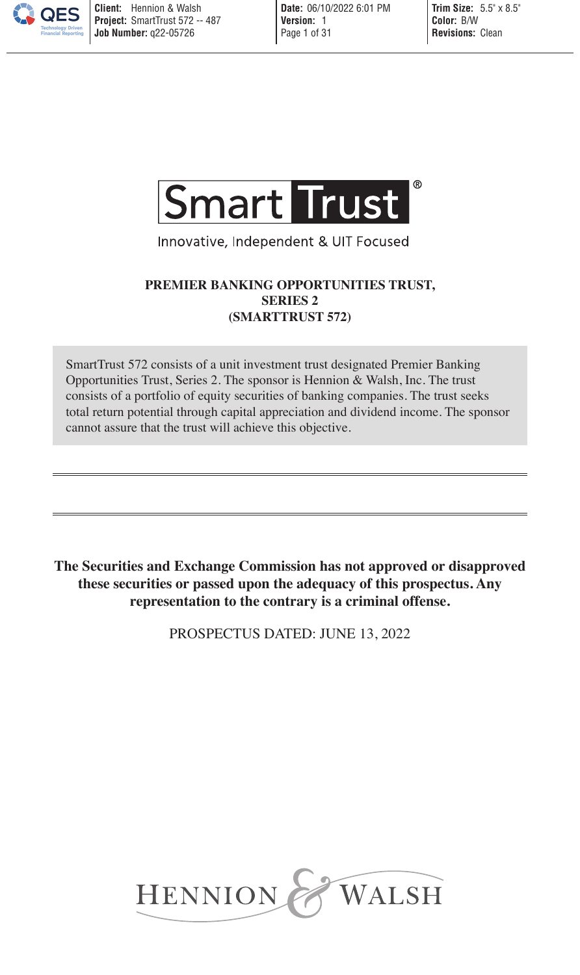

Innovative, Independent & UIT Focused

## **PREMIER BANKING OPPORTUNITIES TRUST, SERIES 2 (SMARTTRUST 572)**

SmartTrust 572 consists of a unit investment trust designated Premier Banking Opportunities Trust, Series 2. The sponsor is Hennion & Walsh, Inc. The trust consists of a portfolio of equity securities of banking companies. The trust seeks total return potential through capital appreciation and dividend income. The sponsor cannot assure that the trust will achieve this objective.

**The Securities and Exchange Commission has not approved or disapproved these securities or passed upon the adequacy of this prospectus. Any representation to the contrary is a criminal offense.** 

PROSPECTUS DATED: JUNE 13, 2022

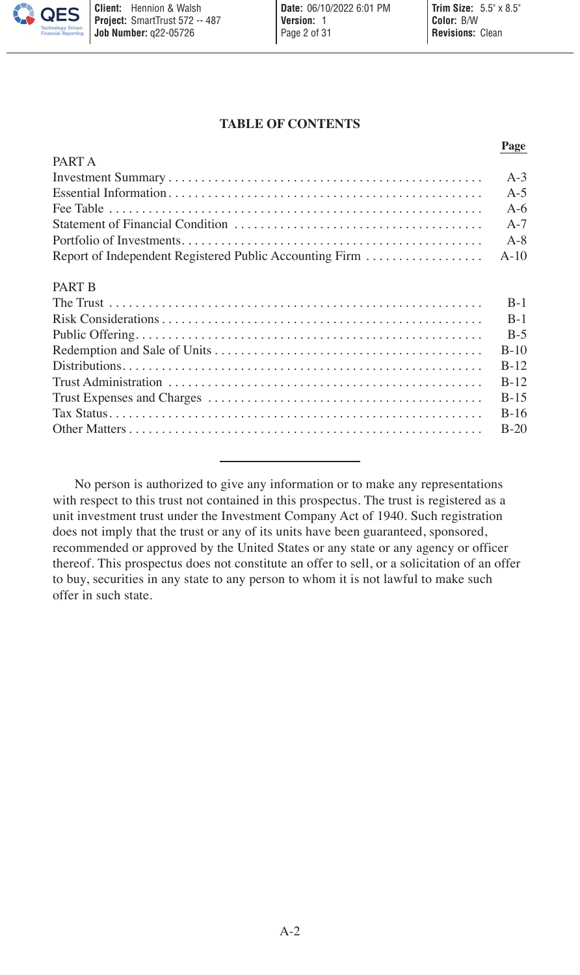### **TABLE OF CONTENTS**

**Page**

|                                                         | 1 agu   |
|---------------------------------------------------------|---------|
| PART A                                                  |         |
|                                                         | $A-3$   |
|                                                         | $A-5$   |
|                                                         | $A-6$   |
|                                                         | $A-7$   |
|                                                         | $A - 8$ |
| Report of Independent Registered Public Accounting Firm | $A-10$  |
| <b>PART B</b>                                           |         |
|                                                         | $B-1$   |
|                                                         | $B-1$   |
|                                                         | $B-5$   |
|                                                         | $B-10$  |
|                                                         | $B-12$  |
|                                                         | $B-12$  |
|                                                         | $B-15$  |
|                                                         | $B-16$  |
|                                                         | $B-20$  |

No person is authorized to give any information or to make any representations with respect to this trust not contained in this prospectus. The trust is registered as a unit investment trust under the Investment Company Act of 1940. Such registration does not imply that the trust or any of its units have been guaranteed, sponsored, recommended or approved by the United States or any state or any agency or officer thereof. This prospectus does not constitute an offer to sell, or a solicitation of an offer to buy, securities in any state to any person to whom it is not lawful to make such offer in such state.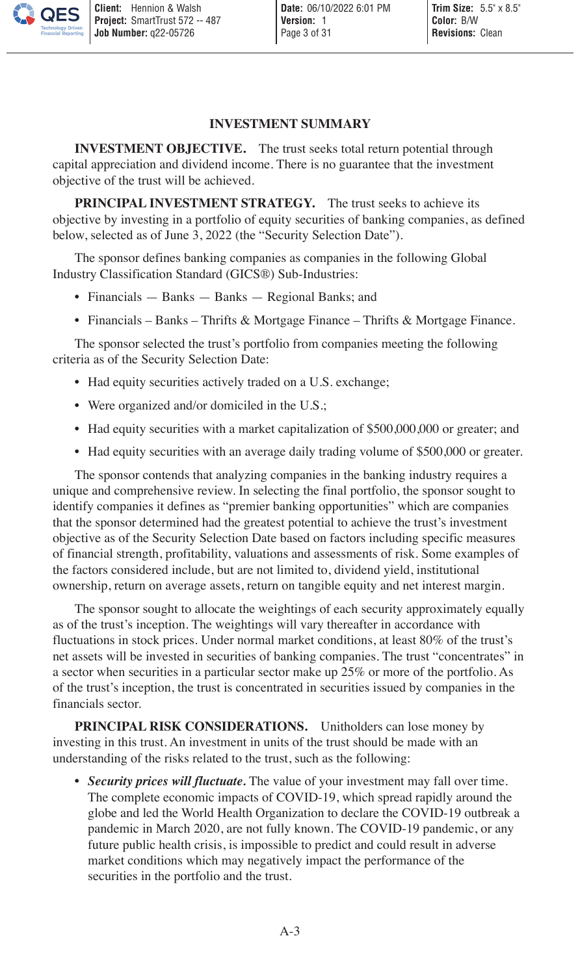#### <span id="page-2-0"></span>**INVESTMENT SUMMARY**

**INVESTMENT OBJECTIVE.** The trust seeks total return potential through capital appreciation and dividend income. There is no guarantee that the investment objective of the trust will be achieved.

**PRINCIPAL INVESTMENT STRATEGY.** The trust seeks to achieve its objective by investing in a portfolio of equity securities of banking companies, as defined below, selected as of June 3, 2022 (the "Security Selection Date").

The sponsor defines banking companies as companies in the following Global Industry Classification Standard (GICS®) Sub-Industries:

- Financials Banks Banks Regional Banks; and
- Financials Banks Thrifts & Mortgage Finance Thrifts & Mortgage Finance.

The sponsor selected the trust's portfolio from companies meeting the following criteria as of the Security Selection Date:

- Had equity securities actively traded on a U.S. exchange;
- Were organized and/or domiciled in the U.S.;
- Had equity securities with a market capitalization of \$500,000,000 or greater; and
- Had equity securities with an average daily trading volume of \$500,000 or greater.

The sponsor contends that analyzing companies in the banking industry requires a unique and comprehensive review. In selecting the final portfolio, the sponsor sought to identify companies it defines as "premier banking opportunities" which are companies that the sponsor determined had the greatest potential to achieve the trust's investment objective as of the Security Selection Date based on factors including specific measures of financial strength, profitability, valuations and assessments of risk. Some examples of the factors considered include, but are not limited to, dividend yield, institutional ownership, return on average assets, return on tangible equity and net interest margin.

The sponsor sought to allocate the weightings of each security approximately equally as of the trust's inception. The weightings will vary thereafter in accordance with fluctuations in stock prices. Under normal market conditions, at least 80% of the trust's net assets will be invested in securities of banking companies. The trust "concentrates" in a sector when securities in a particular sector make up 25% or more of the portfolio. As of the trust's inception, the trust is concentrated in securities issued by companies in the financials sector.

**PRINCIPAL RISK CONSIDERATIONS.** Unitholders can lose money by investing in this trust. An investment in units of the trust should be made with an understanding of the risks related to the trust, such as the following:

*• Security prices will fluctuate.* The value of your investment may fall over time. The complete economic impacts of COVID-19, which spread rapidly around the globe and led the World Health Organization to declare the COVID-19 outbreak a pandemic in March 2020, are not fully known. The COVID-19 pandemic, or any future public health crisis, is impossible to predict and could result in adverse market conditions which may negatively impact the performance of the securities in the portfolio and the trust.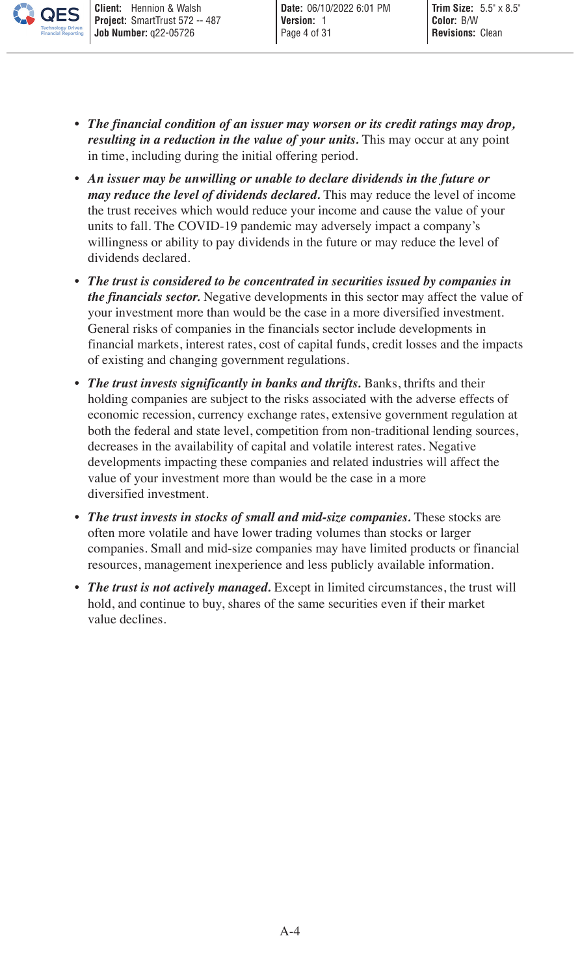- *• The financial condition of an issuer may worsen or its credit ratings may drop, resulting in a reduction in the value of your units.* This may occur at any point in time, including during the initial offering period.
- *• An issuer may be unwilling or unable to declare dividends in the future or may reduce the level of dividends declared.* This may reduce the level of income the trust receives which would reduce your income and cause the value of your units to fall. The COVID-19 pandemic may adversely impact a company's willingness or ability to pay dividends in the future or may reduce the level of dividends declared.
- *• The trust is considered to be concentrated in securities issued by companies in the financials sector.* Negative developments in this sector may affect the value of your investment more than would be the case in a more diversified investment. General risks of companies in the financials sector include developments in financial markets, interest rates, cost of capital funds, credit losses and the impacts of existing and changing government regulations.
- *• The trust invests significantly in banks and thrifts.* Banks, thrifts and their holding companies are subject to the risks associated with the adverse effects of economic recession, currency exchange rates, extensive government regulation at both the federal and state level, competition from non-traditional lending sources, decreases in the availability of capital and volatile interest rates. Negative developments impacting these companies and related industries will affect the value of your investment more than would be the case in a more diversified investment.
- *• The trust invests in stocks of small and mid-size companies.* These stocks are often more volatile and have lower trading volumes than stocks or larger companies. Small and mid-size companies may have limited products or financial resources, management inexperience and less publicly available information.
- *The trust is not actively managed.* Except in limited circumstances, the trust will hold, and continue to buy, shares of the same securities even if their market value declines.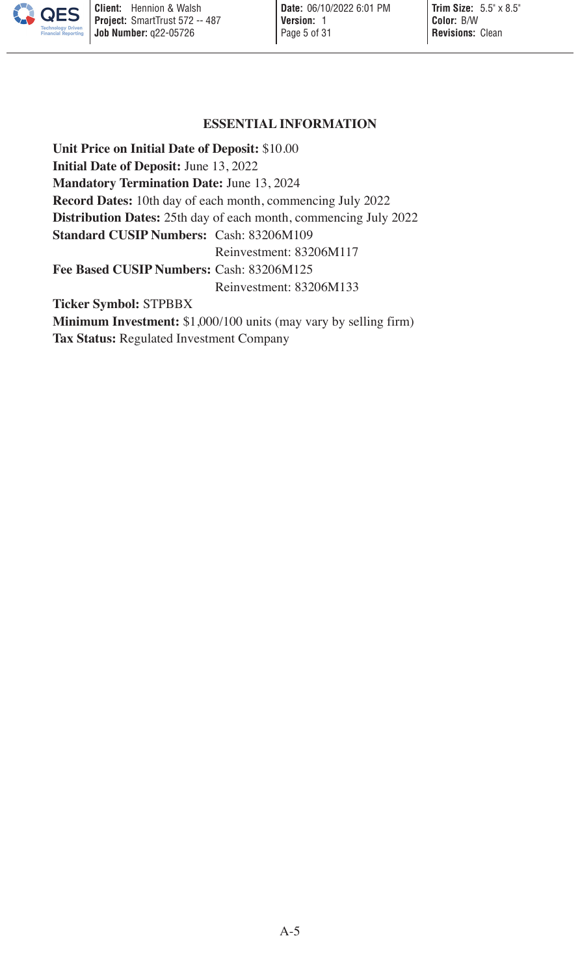#### <span id="page-4-0"></span>**ESSENTIAL INFORMATION**

**Unit Price on Initial Date of Deposit:** \$10.00 **Initial Date of Deposit:** June 13, 2022 **Mandatory Termination Date:** June 13, 2024 **Record Dates:** 10th day of each month, commencing July 2022 **Distribution Dates:** 25th day of each month, commencing July 2022 **Standard CUSIP Numbers:** Cash: 83206M109 Reinvestment: 83206M117 **Fee Based CUSIP Numbers:** Cash: 83206M125 Reinvestment: 83206M133 **Ticker Symbol:** STPBBX **Minimum Investment:** \$1,000/100 units (may vary by selling firm) **Tax Status:** Regulated Investment Company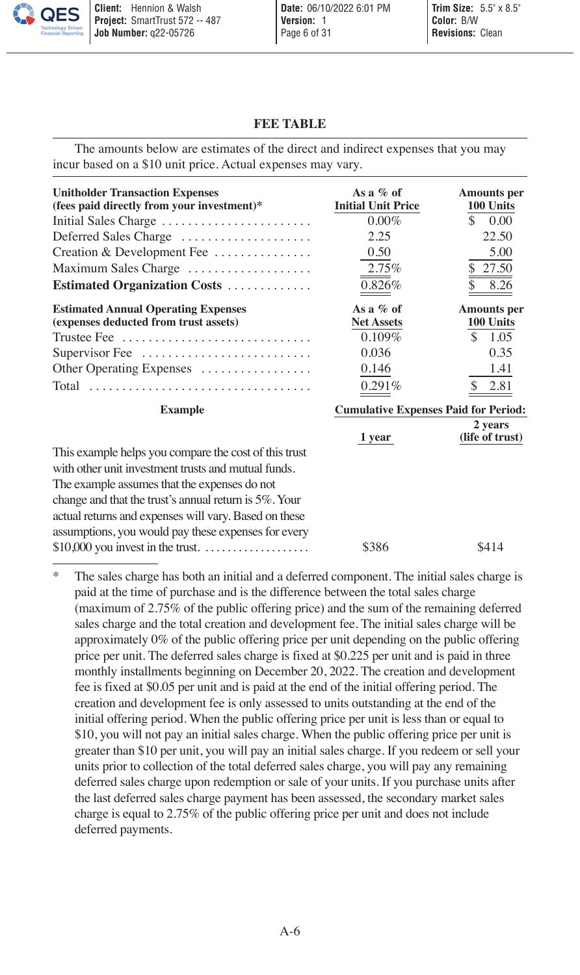#### <span id="page-5-0"></span>**FEE TABLE**

| <b>Unitholder Transaction Expenses</b><br>(fees paid directly from your investment)*<br>Initial Sales Charge<br>Deferred Sales Charge<br>Creation & Development Fee<br>Maximum Sales Charge<br>Estimated Organization Costs                                                                                                           | As a $%$ of<br><b>Initial Unit Price</b><br>$0.00\%$<br>2.25<br>0.50<br>2.75%<br>0.826% | <b>Amounts</b> per<br>100 Units<br>\$<br>0.00<br>22.50<br>5.00<br>\$27.50<br>8.26 |
|---------------------------------------------------------------------------------------------------------------------------------------------------------------------------------------------------------------------------------------------------------------------------------------------------------------------------------------|-----------------------------------------------------------------------------------------|-----------------------------------------------------------------------------------|
| <b>Estimated Annual Operating Expenses</b><br>(expenses deducted from trust assets)<br>Trustee Fee $\dots\dots\dots\dots\dots\dots\dots\dots\dots\dots\dots\dots$<br>Supervisor Fee $\dots\dots\dots\dots\dots\dots\dots\dots\dots$<br>Other Operating Expenses                                                                       | As a $%$ of<br><b>Net Assets</b><br>$0.109\%$<br>0.036<br>0.146<br>0.291%               | <b>Amounts</b> per<br>100 Units<br>S.<br>1.05<br>0.35<br>1.41<br>2.81             |
| <b>Example</b>                                                                                                                                                                                                                                                                                                                        | <b>Cumulative Expenses Paid for Period:</b><br>2 years                                  |                                                                                   |
| This example helps you compare the cost of this trust<br>with other unit investment trusts and mutual funds.<br>The example assumes that the expenses do not<br>change and that the trust's annual return is 5%. Your<br>actual returns and expenses will vary. Based on these<br>assumptions, you would pay these expenses for every | 1 year<br>\$386                                                                         | (life of trust)<br>\$414                                                          |

The amounts below are estimates of the direct and indirect expenses that you may incur based on a \$10 unit price. Actual expenses may vary.

The sales charge has both an initial and a deferred component. The initial sales charge is paid at the time of purchase and is the difference between the total sales charge (maximum of 2.75% of the public offering price) and the sum of the remaining deferred sales charge and the total creation and development fee. The initial sales charge will be approximately 0% of the public offering price per unit depending on the public offering price per unit. The deferred sales charge is fixed at \$0.225 per unit and is paid in three monthly installments beginning on December 20, 2022. The creation and development fee is fixed at \$0.05 per unit and is paid at the end of the initial offering period. The creation and development fee is only assessed to units outstanding at the end of the initial offering period. When the public offering price per unit is less than or equal to \$10, you will not pay an initial sales charge. When the public offering price per unit is greater than \$10 per unit, you will pay an initial sales charge. If you redeem or sell your units prior to collection of the total deferred sales charge, you will pay any remaining deferred sales charge upon redemption or sale of your units. If you purchase units after the last deferred sales charge payment has been assessed, the secondary market sales charge is equal to 2.75% of the public offering price per unit and does not include deferred payments.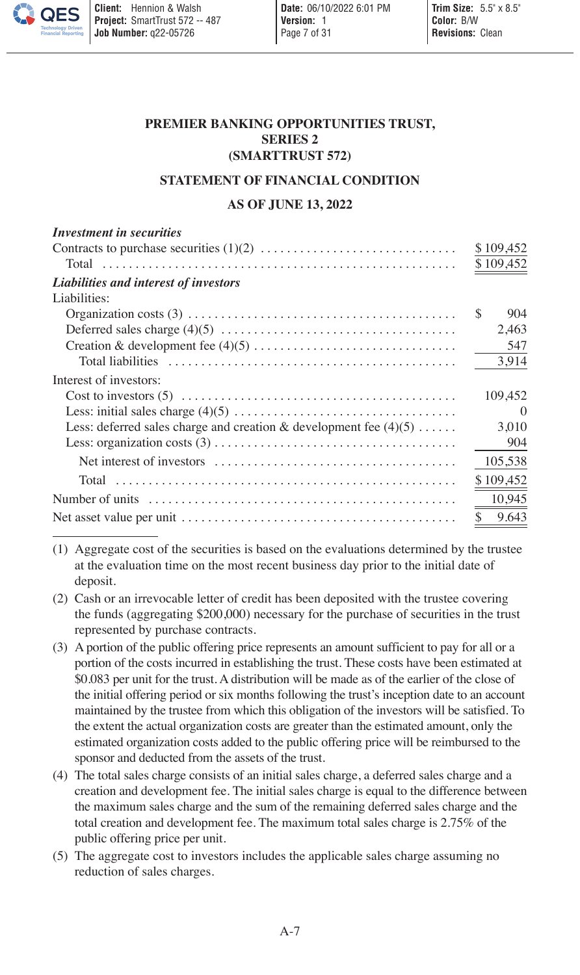## **PREMIER BANKING OPPORTUNITIES TRUST, SERIES 2 (SMARTTRUST 572)**

#### **STATEMENT OF FINANCIAL CONDITION**

### <span id="page-6-0"></span>**AS OF JUNE 13, 2022**

| <sup>\$</sup><br>Interest of investors:<br>Less: deferred sales charge and creation & development fee $(4)(5)$<br>\$ | <b>Investment</b> in securities                                                                                   |           |
|----------------------------------------------------------------------------------------------------------------------|-------------------------------------------------------------------------------------------------------------------|-----------|
|                                                                                                                      |                                                                                                                   | \$109,452 |
|                                                                                                                      |                                                                                                                   | \$109,452 |
|                                                                                                                      | Liabilities and interest of investors                                                                             |           |
|                                                                                                                      | Liabilities:                                                                                                      |           |
|                                                                                                                      |                                                                                                                   | 904       |
|                                                                                                                      |                                                                                                                   | 2,463     |
|                                                                                                                      |                                                                                                                   | 547       |
|                                                                                                                      |                                                                                                                   | 3,914     |
|                                                                                                                      |                                                                                                                   |           |
|                                                                                                                      |                                                                                                                   | 109,452   |
|                                                                                                                      |                                                                                                                   | $\Omega$  |
|                                                                                                                      |                                                                                                                   | 3,010     |
|                                                                                                                      |                                                                                                                   | 904       |
|                                                                                                                      |                                                                                                                   | 105,538   |
|                                                                                                                      |                                                                                                                   | \$109,452 |
|                                                                                                                      | Number of units $\dots \dots \dots \dots \dots \dots \dots \dots \dots \dots \dots \dots \dots \dots \dots \dots$ | 10,945    |
|                                                                                                                      |                                                                                                                   | 9.643     |

(1) Aggregate cost of the securities is based on the evaluations determined by the trustee at the evaluation time on the most recent business day prior to the initial date of deposit.

(2) Cash or an irrevocable letter of credit has been deposited with the trustee covering the funds (aggregating \$200,000) necessary for the purchase of securities in the trust represented by purchase contracts.

- (3) A portion of the public offering price represents an amount sufficient to pay for all or a portion of the costs incurred in establishing the trust. These costs have been estimated at \$0.083 per unit for the trust. A distribution will be made as of the earlier of the close of the initial offering period or six months following the trust's inception date to an account maintained by the trustee from which this obligation of the investors will be satisfied. To the extent the actual organization costs are greater than the estimated amount, only the estimated organization costs added to the public offering price will be reimbursed to the sponsor and deducted from the assets of the trust.
- (4) The total sales charge consists of an initial sales charge, a deferred sales charge and a creation and development fee. The initial sales charge is equal to the difference between the maximum sales charge and the sum of the remaining deferred sales charge and the total creation and development fee. The maximum total sales charge is 2.75% of the public offering price per unit.
- (5) The aggregate cost to investors includes the applicable sales charge assuming no reduction of sales charges.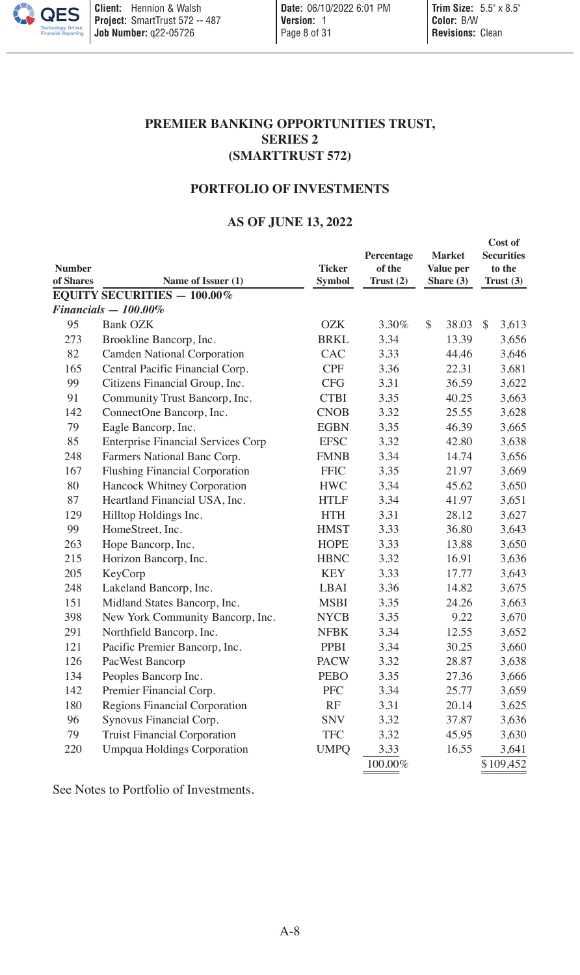# **PREMIER BANKING OPPORTUNITIES TRUST, SERIES 2 (SMARTTRUST 572)**

# **PORTFOLIO OF INVESTMENTS**

# <span id="page-7-0"></span>**AS OF JUNE 13, 2022**

| <b>Number</b><br>of Shares | Name of Issuer (1)                        | <b>Ticker</b><br><b>Symbol</b> | Percentage<br>of the<br>Trust(2) | <b>Market</b><br>Value per<br>Share $(3)$ |              | Cost of<br><b>Securities</b><br>to the<br>Trust $(3)$ |
|----------------------------|-------------------------------------------|--------------------------------|----------------------------------|-------------------------------------------|--------------|-------------------------------------------------------|
|                            | <b>EQUITY SECURITIES - 100.00%</b>        |                                |                                  |                                           |              |                                                       |
|                            | $Financials - 100.00\%$                   |                                |                                  |                                           |              |                                                       |
| 95                         | Bank OZK                                  | <b>OZK</b>                     | 3.30%                            | \$<br>38.03                               | $\mathbb{S}$ | 3,613                                                 |
| 273                        | Brookline Bancorp, Inc.                   | BRKL                           | 3.34                             | 13.39                                     |              | 3,656                                                 |
| 82                         | Camden National Corporation               | CAC                            | 3.33                             | 44.46                                     |              | 3,646                                                 |
| 165                        | Central Pacific Financial Corp.           | <b>CPF</b>                     | 3.36                             | 22.31                                     |              | 3,681                                                 |
| 99                         | Citizens Financial Group, Inc.            | <b>CFG</b>                     | 3.31                             | 36.59                                     |              | 3,622                                                 |
| 91                         | Community Trust Bancorp, Inc.             | <b>CTBI</b>                    | 3.35                             | 40.25                                     |              | 3,663                                                 |
| 142                        | ConnectOne Bancorp, Inc.                  | <b>CNOB</b>                    | 3.32                             | 25.55                                     |              | 3,628                                                 |
| 79                         | Eagle Bancorp, Inc.                       | <b>EGBN</b>                    | 3.35                             | 46.39                                     |              | 3,665                                                 |
| 85                         | <b>Enterprise Financial Services Corp</b> | <b>EFSC</b>                    | 3.32                             | 42.80                                     |              | 3,638                                                 |
| 248                        | Farmers National Banc Corp.               | <b>FMNB</b>                    | 3.34                             | 14.74                                     |              | 3,656                                                 |
| 167                        | <b>Flushing Financial Corporation</b>     | <b>FFIC</b>                    | 3.35                             | 21.97                                     |              | 3,669                                                 |
| 80                         | Hancock Whitney Corporation               | <b>HWC</b>                     | 3.34                             | 45.62                                     |              | 3,650                                                 |
| 87                         | Heartland Financial USA, Inc.             | <b>HTLF</b>                    | 3.34                             | 41.97                                     |              | 3,651                                                 |
| 129                        | Hilltop Holdings Inc.                     | <b>HTH</b>                     | 3.31                             | 28.12                                     |              | 3,627                                                 |
| 99                         | HomeStreet, Inc.                          | <b>HMST</b>                    | 3.33                             | 36.80                                     |              | 3,643                                                 |
| 263                        | Hope Bancorp, Inc.                        | <b>HOPE</b>                    | 3.33                             | 13.88                                     |              | 3,650                                                 |
| 215                        | Horizon Bancorp, Inc.                     | <b>HBNC</b>                    | 3.32                             | 16.91                                     |              | 3,636                                                 |
| 205                        | KeyCorp                                   | <b>KEY</b>                     | 3.33                             | 17.77                                     |              | 3,643                                                 |
| 248                        | Lakeland Bancorp, Inc.                    | LBAI                           | 3.36                             | 14.82                                     |              | 3,675                                                 |
| 151                        | Midland States Bancorp, Inc.              | <b>MSBI</b>                    | 3.35                             | 24.26                                     |              | 3,663                                                 |
| 398                        | New York Community Bancorp, Inc.          | <b>NYCB</b>                    | 3.35                             | 9.22                                      |              | 3,670                                                 |
| 291                        | Northfield Bancorp, Inc.                  | <b>NFBK</b>                    | 3.34                             | 12.55                                     |              | 3,652                                                 |
| 121                        | Pacific Premier Bancorp, Inc.             | PPBI                           | 3.34                             | 30.25                                     |              | 3,660                                                 |
| 126                        | PacWest Bancorp                           | <b>PACW</b>                    | 3.32                             | 28.87                                     |              | 3,638                                                 |
| 134                        | Peoples Bancorp Inc.                      | <b>PEBO</b>                    | 3.35                             | 27.36                                     |              | 3,666                                                 |
| 142                        | Premier Financial Corp.                   | <b>PFC</b>                     | 3.34                             | 25.77                                     |              | 3,659                                                 |
| 180                        | Regions Financial Corporation             | RF                             | 3.31                             | 20.14                                     |              | 3,625                                                 |
| 96                         | Synovus Financial Corp.                   | <b>SNV</b>                     | 3.32                             | 37.87                                     |              | 3,636                                                 |
| 79                         | <b>Truist Financial Corporation</b>       | <b>TFC</b>                     | 3.32                             | 45.95                                     |              | 3,630                                                 |
| 220                        | <b>Umpqua Holdings Corporation</b>        | <b>UMPQ</b>                    | 3.33                             | 16.55                                     |              | 3,641                                                 |
|                            |                                           |                                | 100.00%                          |                                           |              | \$109,452                                             |

See Notes to Portfolio of Investments.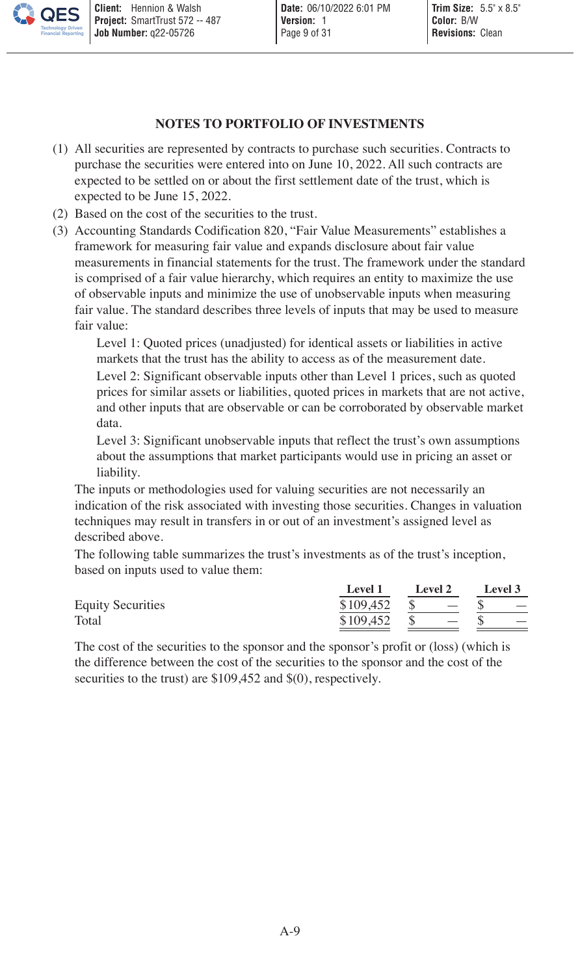## **NOTES TO PORTFOLIO OF INVESTMENTS**

- (1) All securities are represented by contracts to purchase such securities. Contracts to purchase the securities were entered into on June 10, 2022. All such contracts are expected to be settled on or about the first settlement date of the trust, which is expected to be June 15, 2022.
- (2) Based on the cost of the securities to the trust.
- (3) Accounting Standards Codification 820, "Fair Value Measurements" establishes a framework for measuring fair value and expands disclosure about fair value measurements in financial statements for the trust. The framework under the standard is comprised of a fair value hierarchy, which requires an entity to maximize the use of observable inputs and minimize the use of unobservable inputs when measuring fair value. The standard describes three levels of inputs that may be used to measure fair value:

Level 1: Quoted prices (unadjusted) for identical assets or liabilities in active markets that the trust has the ability to access as of the measurement date. Level 2: Significant observable inputs other than Level 1 prices, such as quoted prices for similar assets or liabilities, quoted prices in markets that are not active, and other inputs that are observable or can be corroborated by observable market data.

Level 3: Significant unobservable inputs that reflect the trust's own assumptions about the assumptions that market participants would use in pricing an asset or liability.

The inputs or methodologies used for valuing securities are not necessarily an indication of the risk associated with investing those securities. Changes in valuation techniques may result in transfers in or out of an investment's assigned level as described above.

The following table summarizes the trust's investments as of the trust's inception, based on inputs used to value them:

|                          | Level 1            | Level 2                                                                                                                                                                                                                                                                                                                                                                                                                                                                                                                                                                                                                                                                                                                                                                                                                                      | Level 3                           |
|--------------------------|--------------------|----------------------------------------------------------------------------------------------------------------------------------------------------------------------------------------------------------------------------------------------------------------------------------------------------------------------------------------------------------------------------------------------------------------------------------------------------------------------------------------------------------------------------------------------------------------------------------------------------------------------------------------------------------------------------------------------------------------------------------------------------------------------------------------------------------------------------------------------|-----------------------------------|
| <b>Equity Securities</b> |                    | $$109.452 \quad $ {\scriptstyle \bullet \atop \scriptstyle \infty} {\scriptstyle \bullet} {\scriptstyle \bullet} {\scriptstyle \bullet} {\scriptstyle \bullet} {\scriptstyle \bullet} {\scriptstyle \bullet} {\scriptstyle \bullet} {\scriptstyle \bullet} {\scriptstyle \bullet} {\scriptstyle \bullet} {\scriptstyle \bullet} {\scriptstyle \bullet} {\scriptstyle \bullet} {\scriptstyle \bullet} {\scriptstyle \bullet} {\scriptstyle \bullet} {\scriptstyle \bullet} {\scriptstyle \bullet} {\scriptstyle \bullet} {\scriptstyle \bullet} {\scriptstyle \bullet} {\scriptstyle \bullet} {\scriptstyle \bullet} {\scriptstyle \bullet} {\scriptstyle \bullet} {\scriptstyle \bullet} {\scriptstyle \bullet} {\scriptstyle \bullet} {\scriptstyle \bullet} {\scriptstyle \bullet} {\scriptstyle \bullet} {\scriptstyle \bullet} {\script$ | <b>Contract Contract Contract</b> |
| Total                    | $$109.452 \quad $$ | <b>Contract Contract State</b>                                                                                                                                                                                                                                                                                                                                                                                                                                                                                                                                                                                                                                                                                                                                                                                                               | $\overline{\phantom{0}}$          |

The cost of the securities to the sponsor and the sponsor's profit or (loss) (which is the difference between the cost of the securities to the sponsor and the cost of the securities to the trust) are \$109,452 and \$(0), respectively.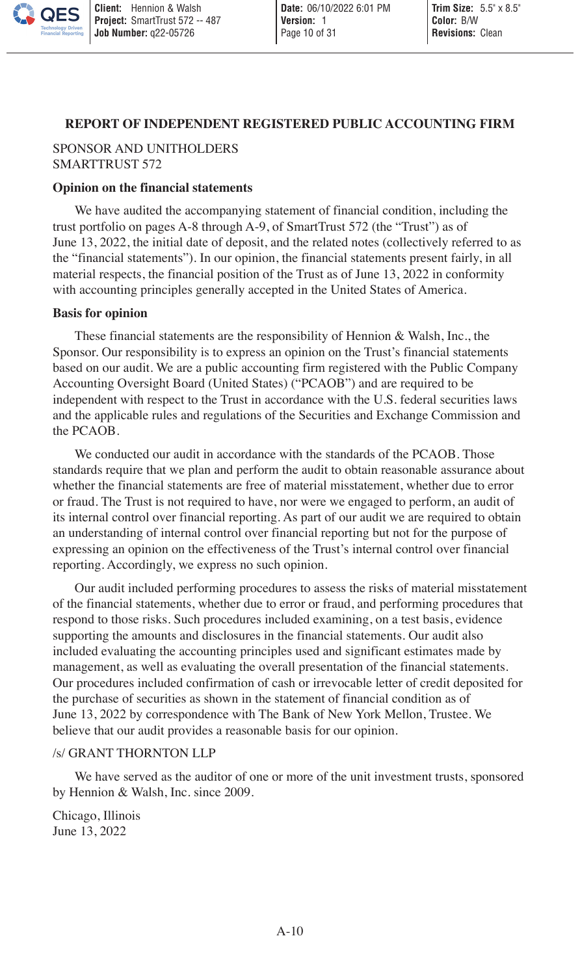#### <span id="page-9-0"></span>**REPORT OF INDEPENDENT REGISTERED PUBLIC ACCOUNTING FIRM**

## SPONSOR AND UNITHOLDERS SMARTTRUST 572

#### **Opinion on the financial statements**

We have audited the accompanying statement of financial condition, including the trust portfolio on pages A-8 through A-9, of SmartTrust 572 (the "Trust") as of June 13, 2022, the initial date of deposit, and the related notes (collectively referred to as the "financial statements"). In our opinion, the financial statements present fairly, in all material respects, the financial position of the Trust as of June 13, 2022 in conformity with accounting principles generally accepted in the United States of America.

#### **Basis for opinion**

These financial statements are the responsibility of Hennion & Walsh, Inc., the Sponsor. Our responsibility is to express an opinion on the Trust's financial statements based on our audit. We are a public accounting firm registered with the Public Company Accounting Oversight Board (United States) ("PCAOB") and are required to be independent with respect to the Trust in accordance with the U.S. federal securities laws and the applicable rules and regulations of the Securities and Exchange Commission and the PCAOB.

We conducted our audit in accordance with the standards of the PCAOB. Those standards require that we plan and perform the audit to obtain reasonable assurance about whether the financial statements are free of material misstatement, whether due to error or fraud. The Trust is not required to have, nor were we engaged to perform, an audit of its internal control over financial reporting. As part of our audit we are required to obtain an understanding of internal control over financial reporting but not for the purpose of expressing an opinion on the effectiveness of the Trust's internal control over financial reporting. Accordingly, we express no such opinion.

Our audit included performing procedures to assess the risks of material misstatement of the financial statements, whether due to error or fraud, and performing procedures that respond to those risks. Such procedures included examining, on a test basis, evidence supporting the amounts and disclosures in the financial statements. Our audit also included evaluating the accounting principles used and significant estimates made by management, as well as evaluating the overall presentation of the financial statements. Our procedures included confirmation of cash or irrevocable letter of credit deposited for the purchase of securities as shown in the statement of financial condition as of June 13, 2022 by correspondence with The Bank of New York Mellon, Trustee. We believe that our audit provides a reasonable basis for our opinion.

### /s/ GRANT THORNTON LLP

We have served as the auditor of one or more of the unit investment trusts, sponsored by Hennion & Walsh, Inc. since 2009.

Chicago, Illinois June 13, 2022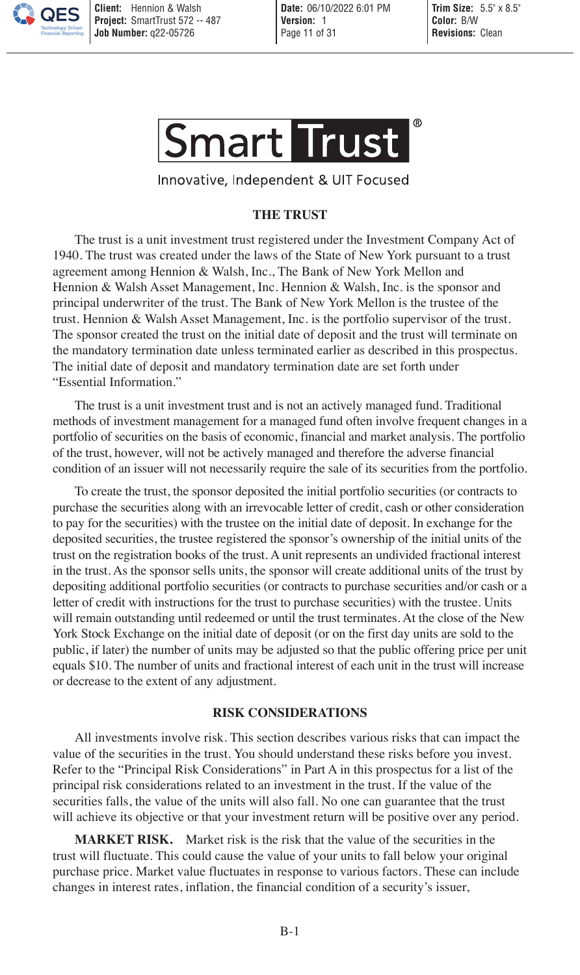

Innovative, Independent & UIT Focused

## <span id="page-10-0"></span>**THE TRUST**

The trust is a unit investment trust registered under the Investment Company Act of 1940. The trust was created under the laws of the State of New York pursuant to a trust agreement among Hennion & Walsh, Inc., The Bank of New York Mellon and Hennion & Walsh Asset Management, Inc. Hennion & Walsh, Inc. is the sponsor and principal underwriter of the trust. The Bank of New York Mellon is the trustee of the trust. Hennion & Walsh Asset Management, Inc. is the portfolio supervisor of the trust. The sponsor created the trust on the initial date of deposit and the trust will terminate on the mandatory termination date unless terminated earlier as described in this prospectus. The initial date of deposit and mandatory termination date are set forth under "Essential Information."

The trust is a unit investment trust and is not an actively managed fund. Traditional methods of investment management for a managed fund often involve frequent changes in a portfolio of securities on the basis of economic, financial and market analysis. The portfolio of the trust, however, will not be actively managed and therefore the adverse financial condition of an issuer will not necessarily require the sale of its securities from the portfolio.

To create the trust, the sponsor deposited the initial portfolio securities (or contracts to purchase the securities along with an irrevocable letter of credit, cash or other consideration to pay for the securities) with the trustee on the initial date of deposit. In exchange for the deposited securities, the trustee registered the sponsor's ownership of the initial units of the trust on the registration books of the trust. A unit represents an undivided fractional interest in the trust. As the sponsor sells units, the sponsor will create additional units of the trust by depositing additional portfolio securities (or contracts to purchase securities and/or cash or a letter of credit with instructions for the trust to purchase securities) with the trustee. Units will remain outstanding until redeemed or until the trust terminates. At the close of the New York Stock Exchange on the initial date of deposit (or on the first day units are sold to the public, if later) the number of units may be adjusted so that the public offering price per unit equals \$10. The number of units and fractional interest of each unit in the trust will increase or decrease to the extent of any adjustment.

## <span id="page-10-1"></span>**RISK CONSIDERATIONS**

All investments involve risk. This section describes various risks that can impact the value of the securities in the trust. You should understand these risks before you invest. Refer to the "Principal Risk Considerations" in Part A in this prospectus for a list of the principal risk considerations related to an investment in the trust. If the value of the securities falls, the value of the units will also fall. No one can guarantee that the trust will achieve its objective or that your investment return will be positive over any period.

**MARKET RISK.** Market risk is the risk that the value of the securities in the trust will fluctuate. This could cause the value of your units to fall below your original purchase price. Market value fluctuates in response to various factors. These can include changes in interest rates, inflation, the financial condition of a security's issuer,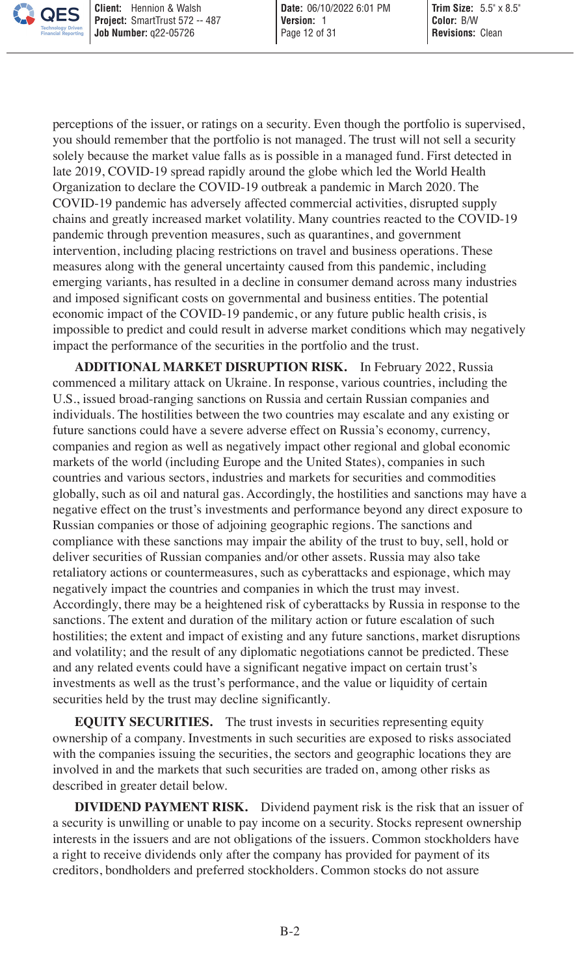perceptions of the issuer, or ratings on a security. Even though the portfolio is supervised, you should remember that the portfolio is not managed. The trust will not sell a security solely because the market value falls as is possible in a managed fund. First detected in late 2019, COVID-19 spread rapidly around the globe which led the World Health Organization to declare the COVID-19 outbreak a pandemic in March 2020. The COVID-19 pandemic has adversely affected commercial activities, disrupted supply chains and greatly increased market volatility. Many countries reacted to the COVID-19 pandemic through prevention measures, such as quarantines, and government intervention, including placing restrictions on travel and business operations. These measures along with the general uncertainty caused from this pandemic, including emerging variants, has resulted in a decline in consumer demand across many industries and imposed significant costs on governmental and business entities. The potential economic impact of the COVID-19 pandemic, or any future public health crisis, is impossible to predict and could result in adverse market conditions which may negatively impact the performance of the securities in the portfolio and the trust.

**ADDITIONAL MARKET DISRUPTION RISK.** In February 2022, Russia commenced a military attack on Ukraine. In response, various countries, including the U.S., issued broad-ranging sanctions on Russia and certain Russian companies and individuals. The hostilities between the two countries may escalate and any existing or future sanctions could have a severe adverse effect on Russia's economy, currency, companies and region as well as negatively impact other regional and global economic markets of the world (including Europe and the United States), companies in such countries and various sectors, industries and markets for securities and commodities globally, such as oil and natural gas. Accordingly, the hostilities and sanctions may have a negative effect on the trust's investments and performance beyond any direct exposure to Russian companies or those of adjoining geographic regions. The sanctions and compliance with these sanctions may impair the ability of the trust to buy, sell, hold or deliver securities of Russian companies and/or other assets. Russia may also take retaliatory actions or countermeasures, such as cyberattacks and espionage, which may negatively impact the countries and companies in which the trust may invest. Accordingly, there may be a heightened risk of cyberattacks by Russia in response to the sanctions. The extent and duration of the military action or future escalation of such hostilities; the extent and impact of existing and any future sanctions, market disruptions and volatility; and the result of any diplomatic negotiations cannot be predicted. These and any related events could have a significant negative impact on certain trust's investments as well as the trust's performance, and the value or liquidity of certain securities held by the trust may decline significantly.

**EQUITY SECURITIES.** The trust invests in securities representing equity ownership of a company. Investments in such securities are exposed to risks associated with the companies issuing the securities, the sectors and geographic locations they are involved in and the markets that such securities are traded on, among other risks as described in greater detail below.

**DIVIDEND PAYMENT RISK.** Dividend payment risk is the risk that an issuer of a security is unwilling or unable to pay income on a security. Stocks represent ownership interests in the issuers and are not obligations of the issuers. Common stockholders have a right to receive dividends only after the company has provided for payment of its creditors, bondholders and preferred stockholders. Common stocks do not assure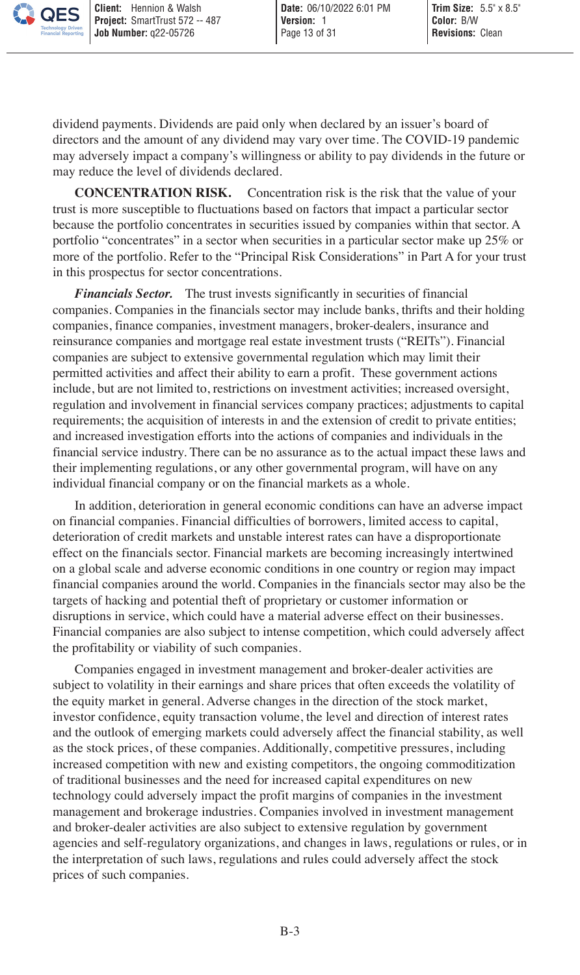dividend payments. Dividends are paid only when declared by an issuer's board of directors and the amount of any dividend may vary over time. The COVID-19 pandemic may adversely impact a company's willingness or ability to pay dividends in the future or may reduce the level of dividends declared.

**CONCENTRATION RISK.** Concentration risk is the risk that the value of your trust is more susceptible to fluctuations based on factors that impact a particular sector because the portfolio concentrates in securities issued by companies within that sector. A portfolio "concentrates" in a sector when securities in a particular sector make up 25% or more of the portfolio. Refer to the "Principal Risk Considerations" in Part A for your trust in this prospectus for sector concentrations.

*Financials Sector.* The trust invests significantly in securities of financial companies. Companies in the financials sector may include banks, thrifts and their holding companies, finance companies, investment managers, broker-dealers, insurance and reinsurance companies and mortgage real estate investment trusts ("REITs"). Financial companies are subject to extensive governmental regulation which may limit their permitted activities and affect their ability to earn a profit. These government actions include, but are not limited to, restrictions on investment activities; increased oversight, regulation and involvement in financial services company practices; adjustments to capital requirements; the acquisition of interests in and the extension of credit to private entities; and increased investigation efforts into the actions of companies and individuals in the financial service industry. There can be no assurance as to the actual impact these laws and their implementing regulations, or any other governmental program, will have on any individual financial company or on the financial markets as a whole.

In addition, deterioration in general economic conditions can have an adverse impact on financial companies. Financial difficulties of borrowers, limited access to capital, deterioration of credit markets and unstable interest rates can have a disproportionate effect on the financials sector. Financial markets are becoming increasingly intertwined on a global scale and adverse economic conditions in one country or region may impact financial companies around the world. Companies in the financials sector may also be the targets of hacking and potential theft of proprietary or customer information or disruptions in service, which could have a material adverse effect on their businesses. Financial companies are also subject to intense competition, which could adversely affect the profitability or viability of such companies.

Companies engaged in investment management and broker-dealer activities are subject to volatility in their earnings and share prices that often exceeds the volatility of the equity market in general. Adverse changes in the direction of the stock market, investor confidence, equity transaction volume, the level and direction of interest rates and the outlook of emerging markets could adversely affect the financial stability, as well as the stock prices, of these companies. Additionally, competitive pressures, including increased competition with new and existing competitors, the ongoing commoditization of traditional businesses and the need for increased capital expenditures on new technology could adversely impact the profit margins of companies in the investment management and brokerage industries. Companies involved in investment management and broker-dealer activities are also subject to extensive regulation by government agencies and self-regulatory organizations, and changes in laws, regulations or rules, or in the interpretation of such laws, regulations and rules could adversely affect the stock prices of such companies.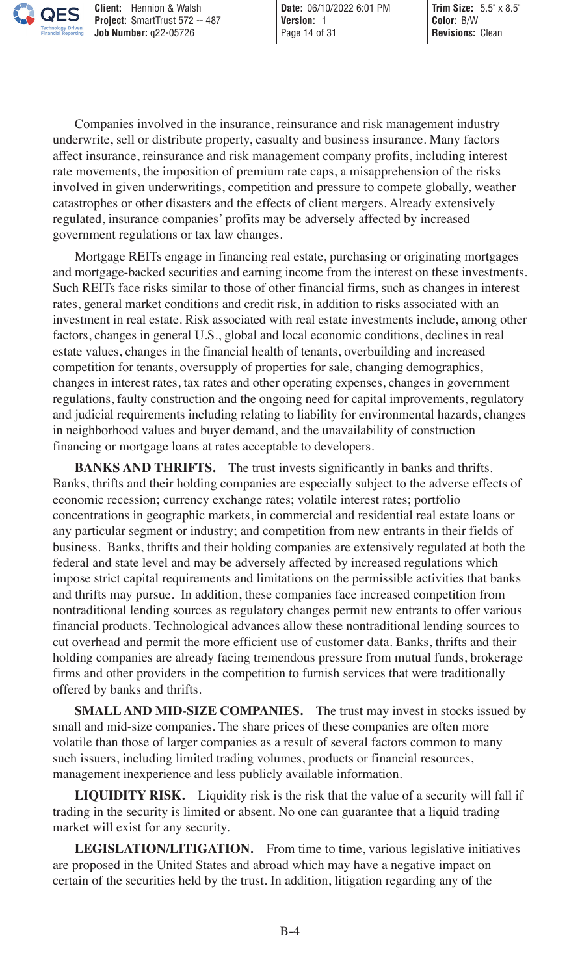Companies involved in the insurance, reinsurance and risk management industry underwrite, sell or distribute property, casualty and business insurance. Many factors affect insurance, reinsurance and risk management company profits, including interest rate movements, the imposition of premium rate caps, a misapprehension of the risks involved in given underwritings, competition and pressure to compete globally, weather catastrophes or other disasters and the effects of client mergers. Already extensively regulated, insurance companies' profits may be adversely affected by increased government regulations or tax law changes.

Mortgage REITs engage in financing real estate, purchasing or originating mortgages and mortgage-backed securities and earning income from the interest on these investments. Such REITs face risks similar to those of other financial firms, such as changes in interest rates, general market conditions and credit risk, in addition to risks associated with an investment in real estate. Risk associated with real estate investments include, among other factors, changes in general U.S., global and local economic conditions, declines in real estate values, changes in the financial health of tenants, overbuilding and increased competition for tenants, oversupply of properties for sale, changing demographics, changes in interest rates, tax rates and other operating expenses, changes in government regulations, faulty construction and the ongoing need for capital improvements, regulatory and judicial requirements including relating to liability for environmental hazards, changes in neighborhood values and buyer demand, and the unavailability of construction financing or mortgage loans at rates acceptable to developers.

**BANKS AND THRIFTS.** The trust invests significantly in banks and thrifts. Banks, thrifts and their holding companies are especially subject to the adverse effects of economic recession; currency exchange rates; volatile interest rates; portfolio concentrations in geographic markets, in commercial and residential real estate loans or any particular segment or industry; and competition from new entrants in their fields of business. Banks, thrifts and their holding companies are extensively regulated at both the federal and state level and may be adversely affected by increased regulations which impose strict capital requirements and limitations on the permissible activities that banks and thrifts may pursue. In addition, these companies face increased competition from nontraditional lending sources as regulatory changes permit new entrants to offer various financial products. Technological advances allow these nontraditional lending sources to cut overhead and permit the more efficient use of customer data. Banks, thrifts and their holding companies are already facing tremendous pressure from mutual funds, brokerage firms and other providers in the competition to furnish services that were traditionally offered by banks and thrifts.

**SMALL AND MID-SIZE COMPANIES.** The trust may invest in stocks issued by small and mid-size companies. The share prices of these companies are often more volatile than those of larger companies as a result of several factors common to many such issuers, including limited trading volumes, products or financial resources, management inexperience and less publicly available information.

**LIQUIDITY RISK.** Liquidity risk is the risk that the value of a security will fall if trading in the security is limited or absent. No one can guarantee that a liquid trading market will exist for any security.

**LEGISLATION/LITIGATION.** From time to time, various legislative initiatives are proposed in the United States and abroad which may have a negative impact on certain of the securities held by the trust. In addition, litigation regarding any of the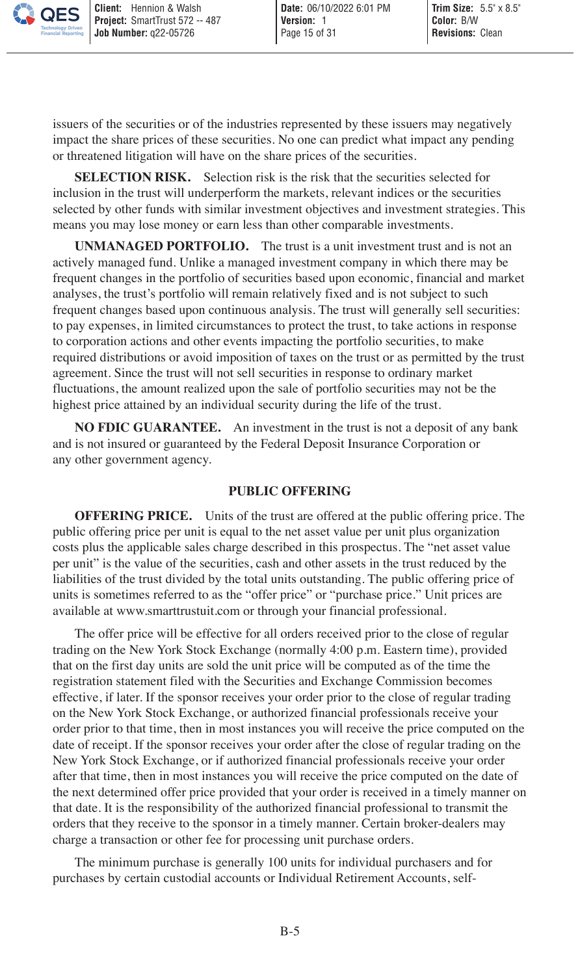issuers of the securities or of the industries represented by these issuers may negatively impact the share prices of these securities. No one can predict what impact any pending or threatened litigation will have on the share prices of the securities.

**SELECTION RISK.** Selection risk is the risk that the securities selected for inclusion in the trust will underperform the markets, relevant indices or the securities selected by other funds with similar investment objectives and investment strategies. This means you may lose money or earn less than other comparable investments.

**UNMANAGED PORTFOLIO.** The trust is a unit investment trust and is not an actively managed fund. Unlike a managed investment company in which there may be frequent changes in the portfolio of securities based upon economic, financial and market analyses, the trust's portfolio will remain relatively fixed and is not subject to such frequent changes based upon continuous analysis. The trust will generally sell securities: to pay expenses, in limited circumstances to protect the trust, to take actions in response to corporation actions and other events impacting the portfolio securities, to make required distributions or avoid imposition of taxes on the trust or as permitted by the trust agreement. Since the trust will not sell securities in response to ordinary market fluctuations, the amount realized upon the sale of portfolio securities may not be the highest price attained by an individual security during the life of the trust.

**NO FDIC GUARANTEE.** An investment in the trust is not a deposit of any bank and is not insured or guaranteed by the Federal Deposit Insurance Corporation or any other government agency.

### <span id="page-14-0"></span>**PUBLIC OFFERING**

**OFFERING PRICE.** Units of the trust are offered at the public offering price. The public offering price per unit is equal to the net asset value per unit plus organization costs plus the applicable sales charge described in this prospectus. The "net asset value per unit" is the value of the securities, cash and other assets in the trust reduced by the liabilities of the trust divided by the total units outstanding. The public offering price of units is sometimes referred to as the "offer price" or "purchase price." Unit prices are available at www.smarttrustuit.com or through your financial professional.

The offer price will be effective for all orders received prior to the close of regular trading on the New York Stock Exchange (normally 4:00 p.m. Eastern time), provided that on the first day units are sold the unit price will be computed as of the time the registration statement filed with the Securities and Exchange Commission becomes effective, if later. If the sponsor receives your order prior to the close of regular trading on the New York Stock Exchange, or authorized financial professionals receive your order prior to that time, then in most instances you will receive the price computed on the date of receipt. If the sponsor receives your order after the close of regular trading on the New York Stock Exchange, or if authorized financial professionals receive your order after that time, then in most instances you will receive the price computed on the date of the next determined offer price provided that your order is received in a timely manner on that date. It is the responsibility of the authorized financial professional to transmit the orders that they receive to the sponsor in a timely manner. Certain broker-dealers may charge a transaction or other fee for processing unit purchase orders.

The minimum purchase is generally 100 units for individual purchasers and for purchases by certain custodial accounts or Individual Retirement Accounts, self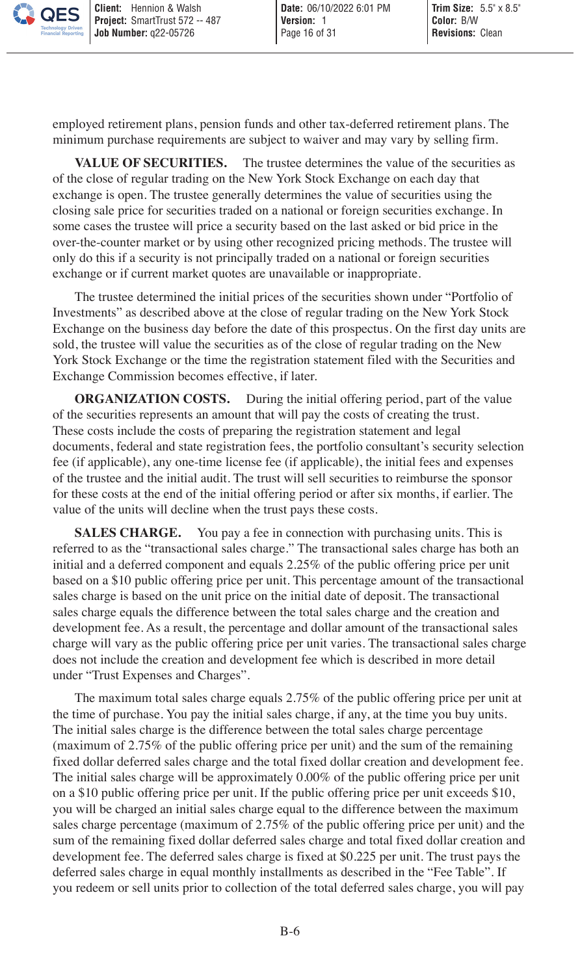employed retirement plans, pension funds and other tax-deferred retirement plans. The minimum purchase requirements are subject to waiver and may vary by selling firm.

VALUE OF SECURITIES. The trustee determines the value of the securities as of the close of regular trading on the New York Stock Exchange on each day that exchange is open. The trustee generally determines the value of securities using the closing sale price for securities traded on a national or foreign securities exchange. In some cases the trustee will price a security based on the last asked or bid price in the over-the-counter market or by using other recognized pricing methods. The trustee will only do this if a security is not principally traded on a national or foreign securities exchange or if current market quotes are unavailable or inappropriate.

The trustee determined the initial prices of the securities shown under "Portfolio of Investments" as described above at the close of regular trading on the New York Stock Exchange on the business day before the date of this prospectus. On the first day units are sold, the trustee will value the securities as of the close of regular trading on the New York Stock Exchange or the time the registration statement filed with the Securities and Exchange Commission becomes effective, if later.

**ORGANIZATION COSTS.** During the initial offering period, part of the value of the securities represents an amount that will pay the costs of creating the trust. These costs include the costs of preparing the registration statement and legal documents, federal and state registration fees, the portfolio consultant's security selection fee (if applicable), any one-time license fee (if applicable), the initial fees and expenses of the trustee and the initial audit. The trust will sell securities to reimburse the sponsor for these costs at the end of the initial offering period or after six months, if earlier. The value of the units will decline when the trust pays these costs.

**SALES CHARGE.** You pay a fee in connection with purchasing units. This is referred to as the "transactional sales charge." The transactional sales charge has both an initial and a deferred component and equals 2.25% of the public offering price per unit based on a \$10 public offering price per unit. This percentage amount of the transactional sales charge is based on the unit price on the initial date of deposit. The transactional sales charge equals the difference between the total sales charge and the creation and development fee. As a result, the percentage and dollar amount of the transactional sales charge will vary as the public offering price per unit varies. The transactional sales charge does not include the creation and development fee which is described in more detail under "Trust Expenses and Charges".

The maximum total sales charge equals 2.75% of the public offering price per unit at the time of purchase. You pay the initial sales charge, if any, at the time you buy units. The initial sales charge is the difference between the total sales charge percentage (maximum of 2.75% of the public offering price per unit) and the sum of the remaining fixed dollar deferred sales charge and the total fixed dollar creation and development fee. The initial sales charge will be approximately 0.00% of the public offering price per unit on a \$10 public offering price per unit. If the public offering price per unit exceeds \$10, you will be charged an initial sales charge equal to the difference between the maximum sales charge percentage (maximum of 2.75% of the public offering price per unit) and the sum of the remaining fixed dollar deferred sales charge and total fixed dollar creation and development fee. The deferred sales charge is fixed at \$0.225 per unit. The trust pays the deferred sales charge in equal monthly installments as described in the "Fee Table". If you redeem or sell units prior to collection of the total deferred sales charge, you will pay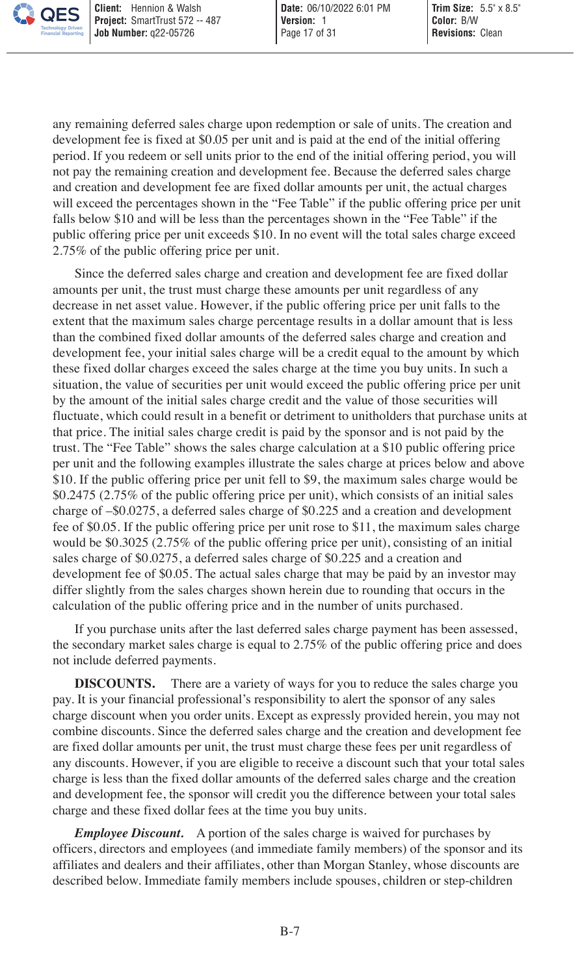any remaining deferred sales charge upon redemption or sale of units. The creation and development fee is fixed at \$0.05 per unit and is paid at the end of the initial offering period. If you redeem or sell units prior to the end of the initial offering period, you will not pay the remaining creation and development fee. Because the deferred sales charge and creation and development fee are fixed dollar amounts per unit, the actual charges will exceed the percentages shown in the "Fee Table" if the public offering price per unit falls below \$10 and will be less than the percentages shown in the "Fee Table" if the public offering price per unit exceeds \$10. In no event will the total sales charge exceed 2.75% of the public offering price per unit.

Since the deferred sales charge and creation and development fee are fixed dollar amounts per unit, the trust must charge these amounts per unit regardless of any decrease in net asset value. However, if the public offering price per unit falls to the extent that the maximum sales charge percentage results in a dollar amount that is less than the combined fixed dollar amounts of the deferred sales charge and creation and development fee, your initial sales charge will be a credit equal to the amount by which these fixed dollar charges exceed the sales charge at the time you buy units. In such a situation, the value of securities per unit would exceed the public offering price per unit by the amount of the initial sales charge credit and the value of those securities will fluctuate, which could result in a benefit or detriment to unitholders that purchase units at that price. The initial sales charge credit is paid by the sponsor and is not paid by the trust. The "Fee Table" shows the sales charge calculation at a \$10 public offering price per unit and the following examples illustrate the sales charge at prices below and above \$10. If the public offering price per unit fell to \$9, the maximum sales charge would be \$0.2475 (2.75% of the public offering price per unit), which consists of an initial sales charge of –\$0.0275, a deferred sales charge of \$0.225 and a creation and development fee of \$0.05. If the public offering price per unit rose to \$11, the maximum sales charge would be \$0.3025 (2.75% of the public offering price per unit), consisting of an initial sales charge of \$0.0275, a deferred sales charge of \$0.225 and a creation and development fee of \$0.05. The actual sales charge that may be paid by an investor may differ slightly from the sales charges shown herein due to rounding that occurs in the calculation of the public offering price and in the number of units purchased.

If you purchase units after the last deferred sales charge payment has been assessed, the secondary market sales charge is equal to 2.75% of the public offering price and does not include deferred payments.

**DISCOUNTS.** There are a variety of ways for you to reduce the sales charge you pay. It is your financial professional's responsibility to alert the sponsor of any sales charge discount when you order units. Except as expressly provided herein, you may not combine discounts. Since the deferred sales charge and the creation and development fee are fixed dollar amounts per unit, the trust must charge these fees per unit regardless of any discounts. However, if you are eligible to receive a discount such that your total sales charge is less than the fixed dollar amounts of the deferred sales charge and the creation and development fee, the sponsor will credit you the difference between your total sales charge and these fixed dollar fees at the time you buy units.

*Employee Discount.* A portion of the sales charge is waived for purchases by officers, directors and employees (and immediate family members) of the sponsor and its affiliates and dealers and their affiliates, other than Morgan Stanley, whose discounts are described below. Immediate family members include spouses, children or step-children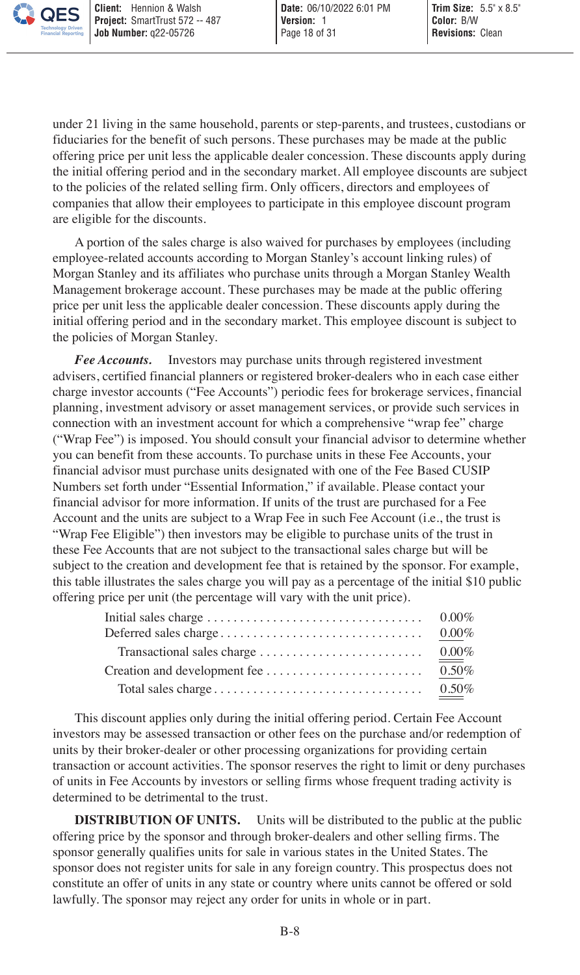under 21 living in the same household, parents or step-parents, and trustees, custodians or fiduciaries for the benefit of such persons. These purchases may be made at the public offering price per unit less the applicable dealer concession. These discounts apply during the initial offering period and in the secondary market. All employee discounts are subject to the policies of the related selling firm. Only officers, directors and employees of companies that allow their employees to participate in this employee discount program are eligible for the discounts.

A portion of the sales charge is also waived for purchases by employees (including employee-related accounts according to Morgan Stanley's account linking rules) of Morgan Stanley and its affiliates who purchase units through a Morgan Stanley Wealth Management brokerage account. These purchases may be made at the public offering price per unit less the applicable dealer concession. These discounts apply during the initial offering period and in the secondary market. This employee discount is subject to the policies of Morgan Stanley.

*Fee Accounts.* Investors may purchase units through registered investment advisers, certified financial planners or registered broker-dealers who in each case either charge investor accounts ("Fee Accounts") periodic fees for brokerage services, financial planning, investment advisory or asset management services, or provide such services in connection with an investment account for which a comprehensive "wrap fee" charge ("Wrap Fee") is imposed. You should consult your financial advisor to determine whether you can benefit from these accounts. To purchase units in these Fee Accounts, your financial advisor must purchase units designated with one of the Fee Based CUSIP Numbers set forth under "Essential Information," if available. Please contact your financial advisor for more information. If units of the trust are purchased for a Fee Account and the units are subject to a Wrap Fee in such Fee Account (i.e., the trust is "Wrap Fee Eligible") then investors may be eligible to purchase units of the trust in these Fee Accounts that are not subject to the transactional sales charge but will be subject to the creation and development fee that is retained by the sponsor. For example, this table illustrates the sales charge you will pay as a percentage of the initial \$10 public offering price per unit (the percentage will vary with the unit price).

| Deferred sales charge | $0.00\%$ |
|-----------------------|----------|
|                       | $0.00\%$ |
|                       | $0.50\%$ |
|                       | $0.50\%$ |

This discount applies only during the initial offering period. Certain Fee Account investors may be assessed transaction or other fees on the purchase and/or redemption of units by their broker-dealer or other processing organizations for providing certain transaction or account activities. The sponsor reserves the right to limit or deny purchases of units in Fee Accounts by investors or selling firms whose frequent trading activity is determined to be detrimental to the trust.

**DISTRIBUTION OF UNITS.** Units will be distributed to the public at the public offering price by the sponsor and through broker-dealers and other selling firms. The sponsor generally qualifies units for sale in various states in the United States. The sponsor does not register units for sale in any foreign country. This prospectus does not constitute an offer of units in any state or country where units cannot be offered or sold lawfully. The sponsor may reject any order for units in whole or in part.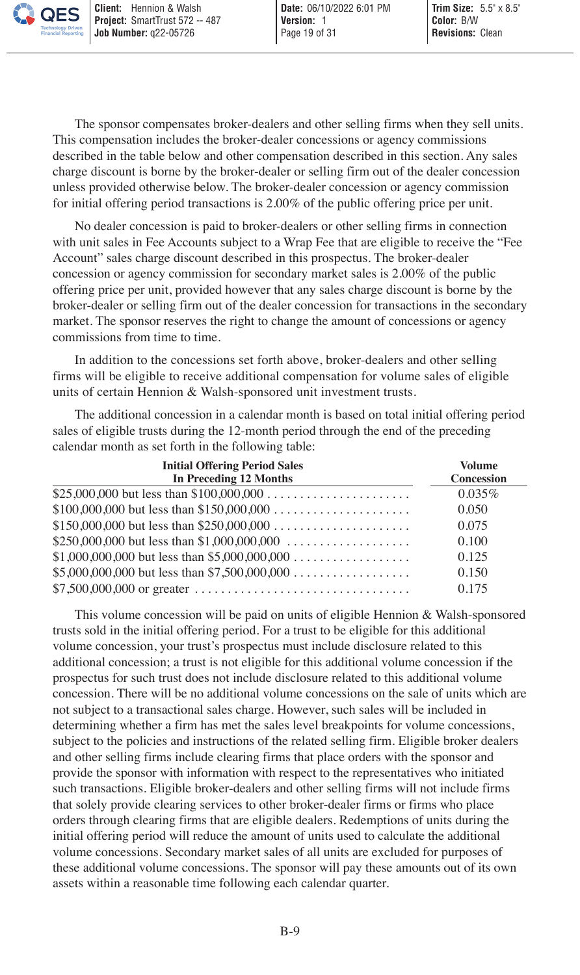The sponsor compensates broker-dealers and other selling firms when they sell units. This compensation includes the broker-dealer concessions or agency commissions described in the table below and other compensation described in this section. Any sales charge discount is borne by the broker-dealer or selling firm out of the dealer concession unless provided otherwise below. The broker-dealer concession or agency commission for initial offering period transactions is 2.00% of the public offering price per unit.

No dealer concession is paid to broker-dealers or other selling firms in connection with unit sales in Fee Accounts subject to a Wrap Fee that are eligible to receive the "Fee Account" sales charge discount described in this prospectus. The broker-dealer concession or agency commission for secondary market sales is 2.00% of the public offering price per unit, provided however that any sales charge discount is borne by the broker-dealer or selling firm out of the dealer concession for transactions in the secondary market. The sponsor reserves the right to change the amount of concessions or agency commissions from time to time.

In addition to the concessions set forth above, broker-dealers and other selling firms will be eligible to receive additional compensation for volume sales of eligible units of certain Hennion & Walsh-sponsored unit investment trusts.

The additional concession in a calendar month is based on total initial offering period sales of eligible trusts during the 12-month period through the end of the preceding calendar month as set forth in the following table:

| <b>Initial Offering Period Sales</b><br>In Preceding 12 Months | <b>Volume</b><br>Concession |
|----------------------------------------------------------------|-----------------------------|
|                                                                | 0.035%                      |
|                                                                | 0.050                       |
|                                                                | 0.075                       |
|                                                                | 0.100                       |
|                                                                | 0.125                       |
|                                                                | 0.150                       |
|                                                                | 0.175                       |

This volume concession will be paid on units of eligible Hennion & Walsh-sponsored trusts sold in the initial offering period. For a trust to be eligible for this additional volume concession, your trust's prospectus must include disclosure related to this additional concession; a trust is not eligible for this additional volume concession if the prospectus for such trust does not include disclosure related to this additional volume concession. There will be no additional volume concessions on the sale of units which are not subject to a transactional sales charge. However, such sales will be included in determining whether a firm has met the sales level breakpoints for volume concessions, subject to the policies and instructions of the related selling firm. Eligible broker dealers and other selling firms include clearing firms that place orders with the sponsor and provide the sponsor with information with respect to the representatives who initiated such transactions. Eligible broker-dealers and other selling firms will not include firms that solely provide clearing services to other broker-dealer firms or firms who place orders through clearing firms that are eligible dealers. Redemptions of units during the initial offering period will reduce the amount of units used to calculate the additional volume concessions. Secondary market sales of all units are excluded for purposes of these additional volume concessions. The sponsor will pay these amounts out of its own assets within a reasonable time following each calendar quarter.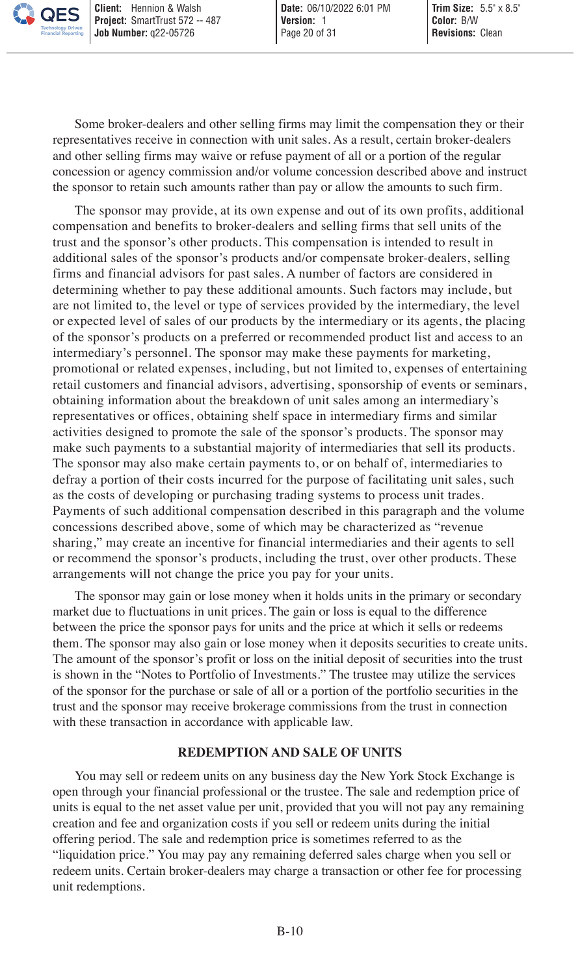Some broker-dealers and other selling firms may limit the compensation they or their representatives receive in connection with unit sales. As a result, certain broker-dealers and other selling firms may waive or refuse payment of all or a portion of the regular concession or agency commission and/or volume concession described above and instruct the sponsor to retain such amounts rather than pay or allow the amounts to such firm.

The sponsor may provide, at its own expense and out of its own profits, additional compensation and benefits to broker-dealers and selling firms that sell units of the trust and the sponsor's other products. This compensation is intended to result in additional sales of the sponsor's products and/or compensate broker-dealers, selling firms and financial advisors for past sales. A number of factors are considered in determining whether to pay these additional amounts. Such factors may include, but are not limited to, the level or type of services provided by the intermediary, the level or expected level of sales of our products by the intermediary or its agents, the placing of the sponsor's products on a preferred or recommended product list and access to an intermediary's personnel. The sponsor may make these payments for marketing, promotional or related expenses, including, but not limited to, expenses of entertaining retail customers and financial advisors, advertising, sponsorship of events or seminars, obtaining information about the breakdown of unit sales among an intermediary's representatives or offices, obtaining shelf space in intermediary firms and similar activities designed to promote the sale of the sponsor's products. The sponsor may make such payments to a substantial majority of intermediaries that sell its products. The sponsor may also make certain payments to, or on behalf of, intermediaries to defray a portion of their costs incurred for the purpose of facilitating unit sales, such as the costs of developing or purchasing trading systems to process unit trades. Payments of such additional compensation described in this paragraph and the volume concessions described above, some of which may be characterized as "revenue sharing," may create an incentive for financial intermediaries and their agents to sell or recommend the sponsor's products, including the trust, over other products. These arrangements will not change the price you pay for your units.

The sponsor may gain or lose money when it holds units in the primary or secondary market due to fluctuations in unit prices. The gain or loss is equal to the difference between the price the sponsor pays for units and the price at which it sells or redeems them. The sponsor may also gain or lose money when it deposits securities to create units. The amount of the sponsor's profit or loss on the initial deposit of securities into the trust is shown in the "Notes to Portfolio of Investments." The trustee may utilize the services of the sponsor for the purchase or sale of all or a portion of the portfolio securities in the trust and the sponsor may receive brokerage commissions from the trust in connection with these transaction in accordance with applicable law.

## <span id="page-19-0"></span>**REDEMPTION AND SALE OF UNITS**

You may sell or redeem units on any business day the New York Stock Exchange is open through your financial professional or the trustee. The sale and redemption price of units is equal to the net asset value per unit, provided that you will not pay any remaining creation and fee and organization costs if you sell or redeem units during the initial offering period. The sale and redemption price is sometimes referred to as the "liquidation price." You may pay any remaining deferred sales charge when you sell or redeem units. Certain broker-dealers may charge a transaction or other fee for processing unit redemptions.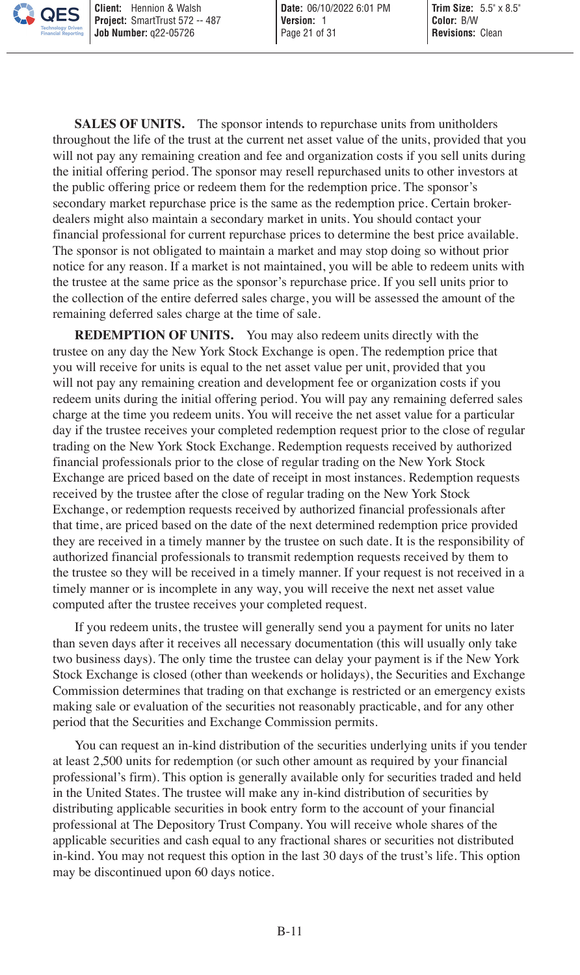**SALES OF UNITS.** The sponsor intends to repurchase units from unitholders throughout the life of the trust at the current net asset value of the units, provided that you will not pay any remaining creation and fee and organization costs if you sell units during the initial offering period. The sponsor may resell repurchased units to other investors at the public offering price or redeem them for the redemption price. The sponsor's secondary market repurchase price is the same as the redemption price. Certain brokerdealers might also maintain a secondary market in units. You should contact your financial professional for current repurchase prices to determine the best price available. The sponsor is not obligated to maintain a market and may stop doing so without prior notice for any reason. If a market is not maintained, you will be able to redeem units with the trustee at the same price as the sponsor's repurchase price. If you sell units prior to the collection of the entire deferred sales charge, you will be assessed the amount of the remaining deferred sales charge at the time of sale.

**REDEMPTION OF UNITS.** You may also redeem units directly with the trustee on any day the New York Stock Exchange is open. The redemption price that you will receive for units is equal to the net asset value per unit, provided that you will not pay any remaining creation and development fee or organization costs if you redeem units during the initial offering period. You will pay any remaining deferred sales charge at the time you redeem units. You will receive the net asset value for a particular day if the trustee receives your completed redemption request prior to the close of regular trading on the New York Stock Exchange. Redemption requests received by authorized financial professionals prior to the close of regular trading on the New York Stock Exchange are priced based on the date of receipt in most instances. Redemption requests received by the trustee after the close of regular trading on the New York Stock Exchange, or redemption requests received by authorized financial professionals after that time, are priced based on the date of the next determined redemption price provided they are received in a timely manner by the trustee on such date. It is the responsibility of authorized financial professionals to transmit redemption requests received by them to the trustee so they will be received in a timely manner. If your request is not received in a timely manner or is incomplete in any way, you will receive the next net asset value computed after the trustee receives your completed request.

If you redeem units, the trustee will generally send you a payment for units no later than seven days after it receives all necessary documentation (this will usually only take two business days). The only time the trustee can delay your payment is if the New York Stock Exchange is closed (other than weekends or holidays), the Securities and Exchange Commission determines that trading on that exchange is restricted or an emergency exists making sale or evaluation of the securities not reasonably practicable, and for any other period that the Securities and Exchange Commission permits.

You can request an in-kind distribution of the securities underlying units if you tender at least 2,500 units for redemption (or such other amount as required by your financial professional's firm). This option is generally available only for securities traded and held in the United States. The trustee will make any in-kind distribution of securities by distributing applicable securities in book entry form to the account of your financial professional at The Depository Trust Company. You will receive whole shares of the applicable securities and cash equal to any fractional shares or securities not distributed in-kind. You may not request this option in the last 30 days of the trust's life. This option may be discontinued upon 60 days notice.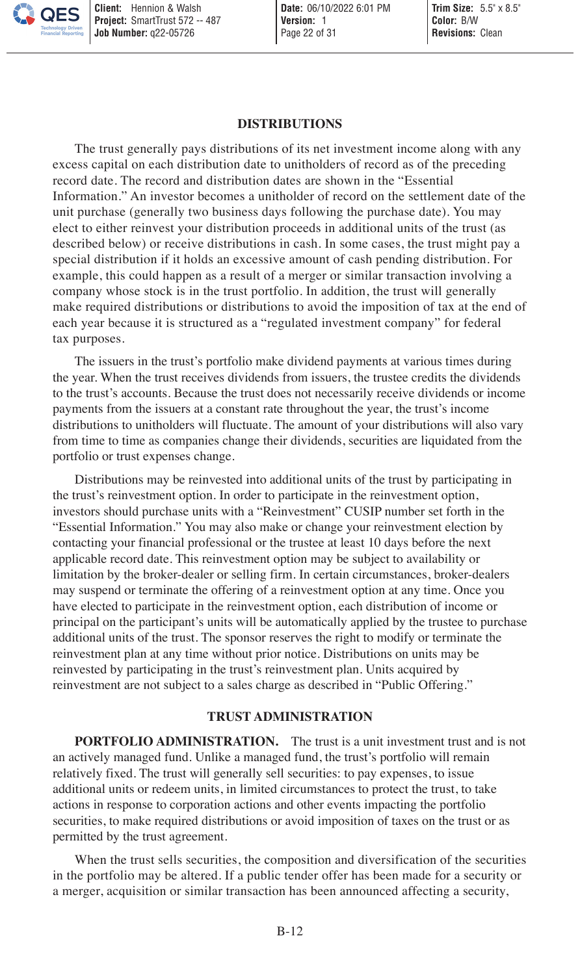#### <span id="page-21-0"></span>**DISTRIBUTIONS**

The trust generally pays distributions of its net investment income along with any excess capital on each distribution date to unitholders of record as of the preceding record date. The record and distribution dates are shown in the "Essential Information." An investor becomes a unitholder of record on the settlement date of the unit purchase (generally two business days following the purchase date). You may elect to either reinvest your distribution proceeds in additional units of the trust (as described below) or receive distributions in cash. In some cases, the trust might pay a special distribution if it holds an excessive amount of cash pending distribution. For example, this could happen as a result of a merger or similar transaction involving a company whose stock is in the trust portfolio. In addition, the trust will generally make required distributions or distributions to avoid the imposition of tax at the end of each year because it is structured as a "regulated investment company" for federal tax purposes.

The issuers in the trust's portfolio make dividend payments at various times during the year. When the trust receives dividends from issuers, the trustee credits the dividends to the trust's accounts. Because the trust does not necessarily receive dividends or income payments from the issuers at a constant rate throughout the year, the trust's income distributions to unitholders will fluctuate. The amount of your distributions will also vary from time to time as companies change their dividends, securities are liquidated from the portfolio or trust expenses change.

Distributions may be reinvested into additional units of the trust by participating in the trust's reinvestment option. In order to participate in the reinvestment option, investors should purchase units with a "Reinvestment" CUSIP number set forth in the "Essential Information." You may also make or change your reinvestment election by contacting your financial professional or the trustee at least 10 days before the next applicable record date. This reinvestment option may be subject to availability or limitation by the broker-dealer or selling firm. In certain circumstances, broker-dealers may suspend or terminate the offering of a reinvestment option at any time. Once you have elected to participate in the reinvestment option, each distribution of income or principal on the participant's units will be automatically applied by the trustee to purchase additional units of the trust. The sponsor reserves the right to modify or terminate the reinvestment plan at any time without prior notice. Distributions on units may be reinvested by participating in the trust's reinvestment plan. Units acquired by reinvestment are not subject to a sales charge as described in "Public Offering."

#### <span id="page-21-1"></span>**TRUST ADMINISTRATION**

**PORTFOLIO ADMINISTRATION.** The trust is a unit investment trust and is not an actively managed fund. Unlike a managed fund, the trust's portfolio will remain relatively fixed. The trust will generally sell securities: to pay expenses, to issue additional units or redeem units, in limited circumstances to protect the trust, to take actions in response to corporation actions and other events impacting the portfolio securities, to make required distributions or avoid imposition of taxes on the trust or as permitted by the trust agreement.

When the trust sells securities, the composition and diversification of the securities in the portfolio may be altered. If a public tender offer has been made for a security or a merger, acquisition or similar transaction has been announced affecting a security,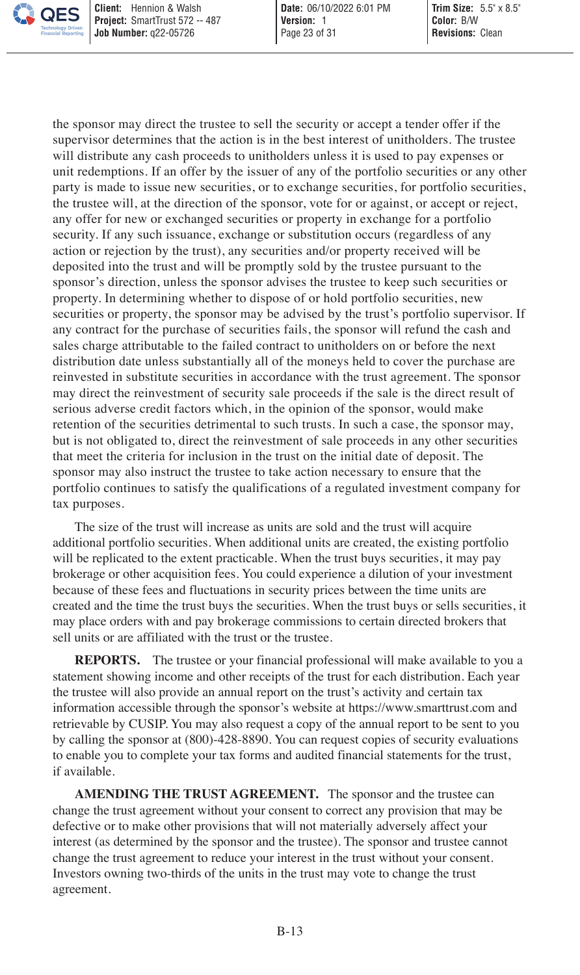the sponsor may direct the trustee to sell the security or accept a tender offer if the supervisor determines that the action is in the best interest of unitholders. The trustee will distribute any cash proceeds to unitholders unless it is used to pay expenses or unit redemptions. If an offer by the issuer of any of the portfolio securities or any other party is made to issue new securities, or to exchange securities, for portfolio securities, the trustee will, at the direction of the sponsor, vote for or against, or accept or reject, any offer for new or exchanged securities or property in exchange for a portfolio security. If any such issuance, exchange or substitution occurs (regardless of any action or rejection by the trust), any securities and/or property received will be deposited into the trust and will be promptly sold by the trustee pursuant to the sponsor's direction, unless the sponsor advises the trustee to keep such securities or property. In determining whether to dispose of or hold portfolio securities, new securities or property, the sponsor may be advised by the trust's portfolio supervisor. If any contract for the purchase of securities fails, the sponsor will refund the cash and sales charge attributable to the failed contract to unitholders on or before the next distribution date unless substantially all of the moneys held to cover the purchase are reinvested in substitute securities in accordance with the trust agreement. The sponsor may direct the reinvestment of security sale proceeds if the sale is the direct result of serious adverse credit factors which, in the opinion of the sponsor, would make retention of the securities detrimental to such trusts. In such a case, the sponsor may, but is not obligated to, direct the reinvestment of sale proceeds in any other securities that meet the criteria for inclusion in the trust on the initial date of deposit. The sponsor may also instruct the trustee to take action necessary to ensure that the portfolio continues to satisfy the qualifications of a regulated investment company for tax purposes.

The size of the trust will increase as units are sold and the trust will acquire additional portfolio securities. When additional units are created, the existing portfolio will be replicated to the extent practicable. When the trust buys securities, it may pay brokerage or other acquisition fees. You could experience a dilution of your investment because of these fees and fluctuations in security prices between the time units are created and the time the trust buys the securities. When the trust buys or sells securities, it may place orders with and pay brokerage commissions to certain directed brokers that sell units or are affiliated with the trust or the trustee.

**REPORTS.** The trustee or your financial professional will make available to you a statement showing income and other receipts of the trust for each distribution. Each year the trustee will also provide an annual report on the trust's activity and certain tax information accessible through the sponsor's website at https://www.smarttrust.com and retrievable by CUSIP. You may also request a copy of the annual report to be sent to you by calling the sponsor at (800)-428-8890. You can request copies of security evaluations to enable you to complete your tax forms and audited financial statements for the trust, if available.

**AMENDING THE TRUST AGREEMENT.** The sponsor and the trustee can change the trust agreement without your consent to correct any provision that may be defective or to make other provisions that will not materially adversely affect your interest (as determined by the sponsor and the trustee). The sponsor and trustee cannot change the trust agreement to reduce your interest in the trust without your consent. Investors owning two-thirds of the units in the trust may vote to change the trust agreement.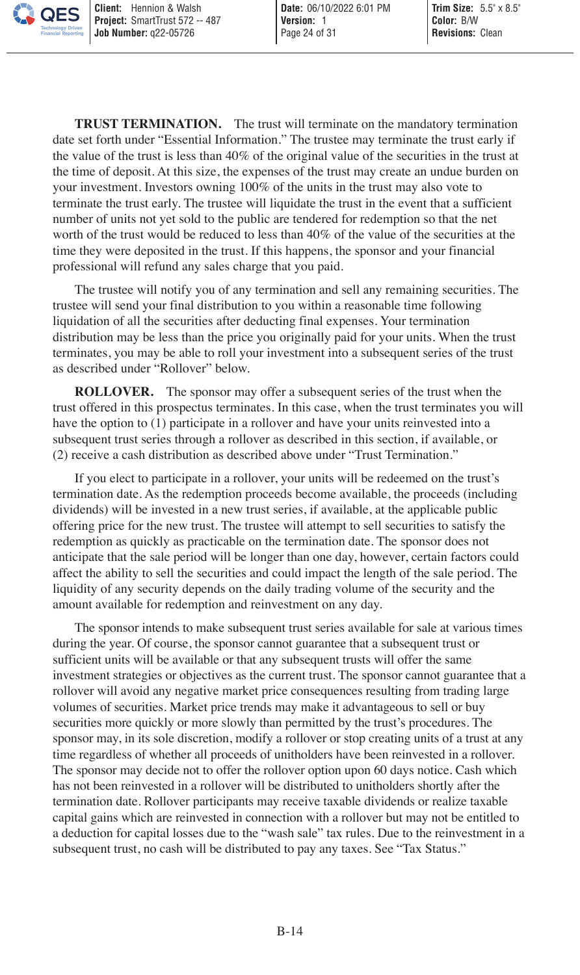**TRUST TERMINATION.** The trust will terminate on the mandatory termination date set forth under "Essential Information." The trustee may terminate the trust early if the value of the trust is less than 40% of the original value of the securities in the trust at the time of deposit. At this size, the expenses of the trust may create an undue burden on your investment. Investors owning 100% of the units in the trust may also vote to terminate the trust early. The trustee will liquidate the trust in the event that a sufficient number of units not yet sold to the public are tendered for redemption so that the net worth of the trust would be reduced to less than 40% of the value of the securities at the time they were deposited in the trust. If this happens, the sponsor and your financial professional will refund any sales charge that you paid.

The trustee will notify you of any termination and sell any remaining securities. The trustee will send your final distribution to you within a reasonable time following liquidation of all the securities after deducting final expenses. Your termination distribution may be less than the price you originally paid for your units. When the trust terminates, you may be able to roll your investment into a subsequent series of the trust as described under "Rollover" below.

**ROLLOVER.** The sponsor may offer a subsequent series of the trust when the trust offered in this prospectus terminates. In this case, when the trust terminates you will have the option to (1) participate in a rollover and have your units reinvested into a subsequent trust series through a rollover as described in this section, if available, or (2) receive a cash distribution as described above under "Trust Termination."

If you elect to participate in a rollover, your units will be redeemed on the trust's termination date. As the redemption proceeds become available, the proceeds (including dividends) will be invested in a new trust series, if available, at the applicable public offering price for the new trust. The trustee will attempt to sell securities to satisfy the redemption as quickly as practicable on the termination date. The sponsor does not anticipate that the sale period will be longer than one day, however, certain factors could affect the ability to sell the securities and could impact the length of the sale period. The liquidity of any security depends on the daily trading volume of the security and the amount available for redemption and reinvestment on any day.

The sponsor intends to make subsequent trust series available for sale at various times during the year. Of course, the sponsor cannot guarantee that a subsequent trust or sufficient units will be available or that any subsequent trusts will offer the same investment strategies or objectives as the current trust. The sponsor cannot guarantee that a rollover will avoid any negative market price consequences resulting from trading large volumes of securities. Market price trends may make it advantageous to sell or buy securities more quickly or more slowly than permitted by the trust's procedures. The sponsor may, in its sole discretion, modify a rollover or stop creating units of a trust at any time regardless of whether all proceeds of unitholders have been reinvested in a rollover. The sponsor may decide not to offer the rollover option upon 60 days notice. Cash which has not been reinvested in a rollover will be distributed to unitholders shortly after the termination date. Rollover participants may receive taxable dividends or realize taxable capital gains which are reinvested in connection with a rollover but may not be entitled to a deduction for capital losses due to the "wash sale" tax rules. Due to the reinvestment in a subsequent trust, no cash will be distributed to pay any taxes. See "Tax Status."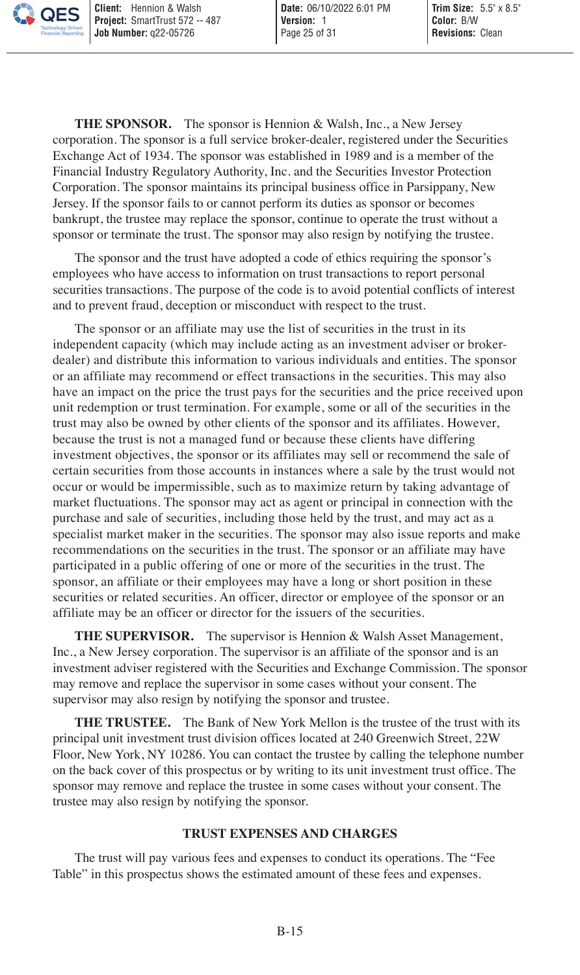**THE SPONSOR.** The sponsor is Hennion & Walsh, Inc., a New Jersey corporation. The sponsor is a full service broker-dealer, registered under the Securities Exchange Act of 1934. The sponsor was established in 1989 and is a member of the Financial Industry Regulatory Authority, Inc. and the Securities Investor Protection Corporation. The sponsor maintains its principal business office in Parsippany, New Jersey. If the sponsor fails to or cannot perform its duties as sponsor or becomes bankrupt, the trustee may replace the sponsor, continue to operate the trust without a sponsor or terminate the trust. The sponsor may also resign by notifying the trustee.

The sponsor and the trust have adopted a code of ethics requiring the sponsor's employees who have access to information on trust transactions to report personal securities transactions. The purpose of the code is to avoid potential conflicts of interest and to prevent fraud, deception or misconduct with respect to the trust.

The sponsor or an affiliate may use the list of securities in the trust in its independent capacity (which may include acting as an investment adviser or brokerdealer) and distribute this information to various individuals and entities. The sponsor or an affiliate may recommend or effect transactions in the securities. This may also have an impact on the price the trust pays for the securities and the price received upon unit redemption or trust termination. For example, some or all of the securities in the trust may also be owned by other clients of the sponsor and its affiliates. However, because the trust is not a managed fund or because these clients have differing investment objectives, the sponsor or its affiliates may sell or recommend the sale of certain securities from those accounts in instances where a sale by the trust would not occur or would be impermissible, such as to maximize return by taking advantage of market fluctuations. The sponsor may act as agent or principal in connection with the purchase and sale of securities, including those held by the trust, and may act as a specialist market maker in the securities. The sponsor may also issue reports and make recommendations on the securities in the trust. The sponsor or an affiliate may have participated in a public offering of one or more of the securities in the trust. The sponsor, an affiliate or their employees may have a long or short position in these securities or related securities. An officer, director or employee of the sponsor or an affiliate may be an officer or director for the issuers of the securities.

**THE SUPERVISOR.** The supervisor is Hennion & Walsh Asset Management, Inc., a New Jersey corporation. The supervisor is an affiliate of the sponsor and is an investment adviser registered with the Securities and Exchange Commission. The sponsor may remove and replace the supervisor in some cases without your consent. The supervisor may also resign by notifying the sponsor and trustee.

**THE TRUSTEE.** The Bank of New York Mellon is the trustee of the trust with its principal unit investment trust division offices located at 240 Greenwich Street, 22W Floor, New York, NY 10286. You can contact the trustee by calling the telephone number on the back cover of this prospectus or by writing to its unit investment trust office. The sponsor may remove and replace the trustee in some cases without your consent. The trustee may also resign by notifying the sponsor.

#### <span id="page-24-0"></span>**TRUST EXPENSES AND CHARGES**

The trust will pay various fees and expenses to conduct its operations. The "Fee Table" in this prospectus shows the estimated amount of these fees and expenses.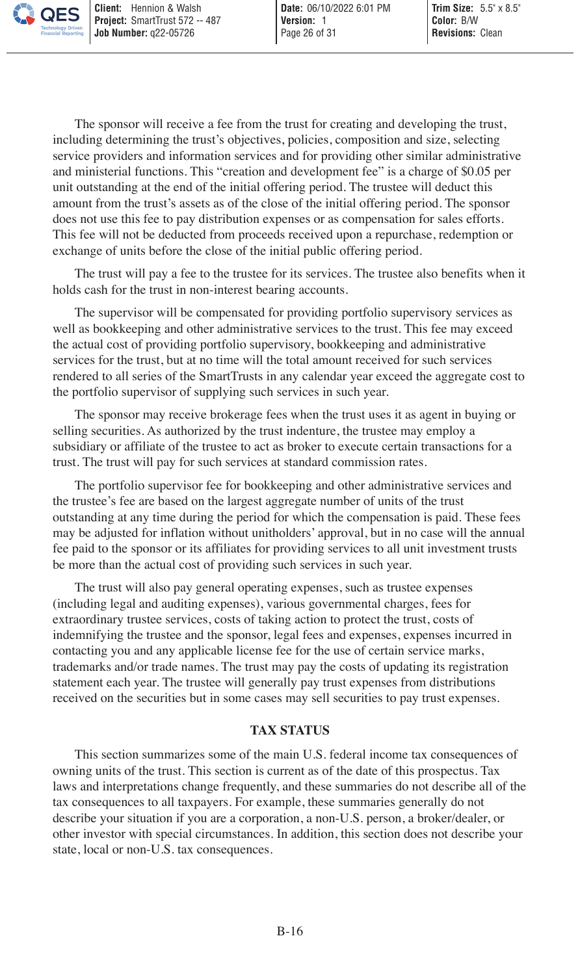The sponsor will receive a fee from the trust for creating and developing the trust, including determining the trust's objectives, policies, composition and size, selecting service providers and information services and for providing other similar administrative and ministerial functions. This "creation and development fee" is a charge of \$0.05 per unit outstanding at the end of the initial offering period. The trustee will deduct this amount from the trust's assets as of the close of the initial offering period. The sponsor does not use this fee to pay distribution expenses or as compensation for sales efforts. This fee will not be deducted from proceeds received upon a repurchase, redemption or exchange of units before the close of the initial public offering period.

The trust will pay a fee to the trustee for its services. The trustee also benefits when it holds cash for the trust in non-interest bearing accounts.

The supervisor will be compensated for providing portfolio supervisory services as well as bookkeeping and other administrative services to the trust. This fee may exceed the actual cost of providing portfolio supervisory, bookkeeping and administrative services for the trust, but at no time will the total amount received for such services rendered to all series of the SmartTrusts in any calendar year exceed the aggregate cost to the portfolio supervisor of supplying such services in such year.

The sponsor may receive brokerage fees when the trust uses it as agent in buying or selling securities. As authorized by the trust indenture, the trustee may employ a subsidiary or affiliate of the trustee to act as broker to execute certain transactions for a trust. The trust will pay for such services at standard commission rates.

The portfolio supervisor fee for bookkeeping and other administrative services and the trustee's fee are based on the largest aggregate number of units of the trust outstanding at any time during the period for which the compensation is paid. These fees may be adjusted for inflation without unitholders' approval, but in no case will the annual fee paid to the sponsor or its affiliates for providing services to all unit investment trusts be more than the actual cost of providing such services in such year.

The trust will also pay general operating expenses, such as trustee expenses (including legal and auditing expenses), various governmental charges, fees for extraordinary trustee services, costs of taking action to protect the trust, costs of indemnifying the trustee and the sponsor, legal fees and expenses, expenses incurred in contacting you and any applicable license fee for the use of certain service marks, trademarks and/or trade names. The trust may pay the costs of updating its registration statement each year. The trustee will generally pay trust expenses from distributions received on the securities but in some cases may sell securities to pay trust expenses.

#### <span id="page-25-0"></span>**TAX STATUS**

This section summarizes some of the main U.S. federal income tax consequences of owning units of the trust. This section is current as of the date of this prospectus. Tax laws and interpretations change frequently, and these summaries do not describe all of the tax consequences to all taxpayers. For example, these summaries generally do not describe your situation if you are a corporation, a non-U.S. person, a broker/dealer, or other investor with special circumstances. In addition, this section does not describe your state, local or non-U.S. tax consequences.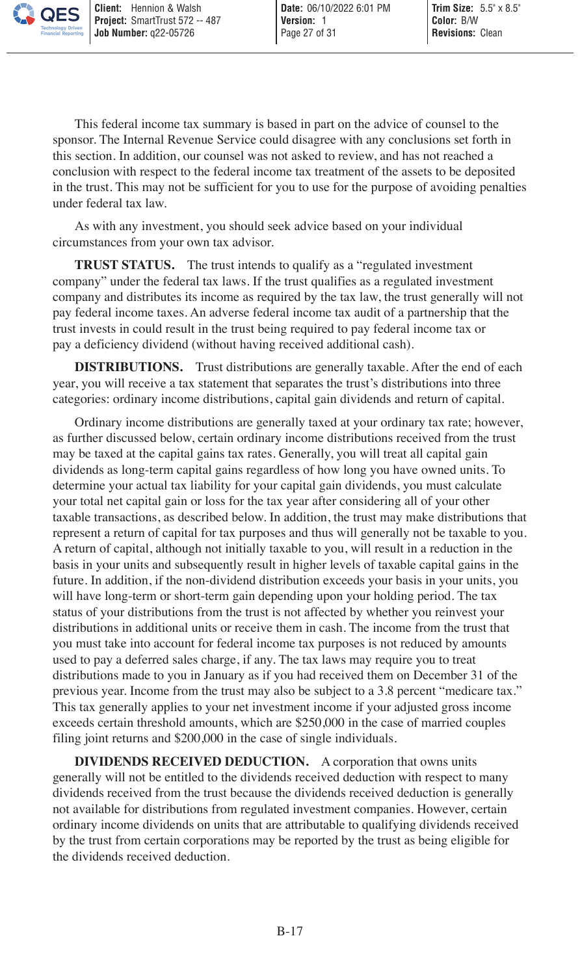This federal income tax summary is based in part on the advice of counsel to the sponsor. The Internal Revenue Service could disagree with any conclusions set forth in this section. In addition, our counsel was not asked to review, and has not reached a conclusion with respect to the federal income tax treatment of the assets to be deposited in the trust. This may not be sufficient for you to use for the purpose of avoiding penalties under federal tax law.

As with any investment, you should seek advice based on your individual circumstances from your own tax advisor.

**TRUST STATUS.** The trust intends to qualify as a "regulated investment company" under the federal tax laws. If the trust qualifies as a regulated investment company and distributes its income as required by the tax law, the trust generally will not pay federal income taxes. An adverse federal income tax audit of a partnership that the trust invests in could result in the trust being required to pay federal income tax or pay a deficiency dividend (without having received additional cash).

**DISTRIBUTIONS.** Trust distributions are generally taxable. After the end of each year, you will receive a tax statement that separates the trust's distributions into three categories: ordinary income distributions, capital gain dividends and return of capital.

Ordinary income distributions are generally taxed at your ordinary tax rate; however, as further discussed below, certain ordinary income distributions received from the trust may be taxed at the capital gains tax rates. Generally, you will treat all capital gain dividends as long-term capital gains regardless of how long you have owned units. To determine your actual tax liability for your capital gain dividends, you must calculate your total net capital gain or loss for the tax year after considering all of your other taxable transactions, as described below. In addition, the trust may make distributions that represent a return of capital for tax purposes and thus will generally not be taxable to you. A return of capital, although not initially taxable to you, will result in a reduction in the basis in your units and subsequently result in higher levels of taxable capital gains in the future. In addition, if the non-dividend distribution exceeds your basis in your units, you will have long-term or short-term gain depending upon your holding period. The tax status of your distributions from the trust is not affected by whether you reinvest your distributions in additional units or receive them in cash. The income from the trust that you must take into account for federal income tax purposes is not reduced by amounts used to pay a deferred sales charge, if any. The tax laws may require you to treat distributions made to you in January as if you had received them on December 31 of the previous year. Income from the trust may also be subject to a 3.8 percent "medicare tax." This tax generally applies to your net investment income if your adjusted gross income exceeds certain threshold amounts, which are \$250,000 in the case of married couples filing joint returns and \$200,000 in the case of single individuals.

**DIVIDENDS RECEIVED DEDUCTION.** A corporation that owns units generally will not be entitled to the dividends received deduction with respect to many dividends received from the trust because the dividends received deduction is generally not available for distributions from regulated investment companies. However, certain ordinary income dividends on units that are attributable to qualifying dividends received by the trust from certain corporations may be reported by the trust as being eligible for the dividends received deduction.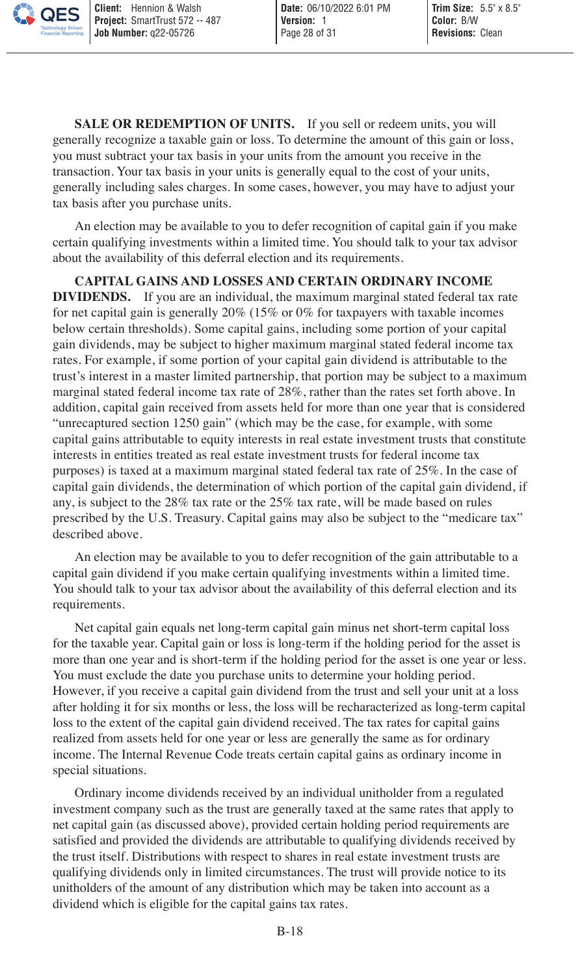**SALE OR REDEMPTION OF UNITS.** If you sell or redeem units, you will generally recognize a taxable gain or loss. To determine the amount of this gain or loss, you must subtract your tax basis in your units from the amount you receive in the transaction. Your tax basis in your units is generally equal to the cost of your units, generally including sales charges. In some cases, however, you may have to adjust your tax basis after you purchase units.

An election may be available to you to defer recognition of capital gain if you make certain qualifying investments within a limited time. You should talk to your tax advisor about the availability of this deferral election and its requirements.

**CAPITAL GAINS AND LOSSES AND CERTAIN ORDINARY INCOME DIVIDENDS.** If you are an individual, the maximum marginal stated federal tax rate for net capital gain is generally 20% (15% or 0% for taxpayers with taxable incomes below certain thresholds). Some capital gains, including some portion of your capital gain dividends, may be subject to higher maximum marginal stated federal income tax rates. For example, if some portion of your capital gain dividend is attributable to the trust's interest in a master limited partnership, that portion may be subject to a maximum marginal stated federal income tax rate of 28%, rather than the rates set forth above. In addition, capital gain received from assets held for more than one year that is considered "unrecaptured section 1250 gain" (which may be the case, for example, with some capital gains attributable to equity interests in real estate investment trusts that constitute interests in entities treated as real estate investment trusts for federal income tax purposes) is taxed at a maximum marginal stated federal tax rate of 25%. In the case of capital gain dividends, the determination of which portion of the capital gain dividend, if any, is subject to the 28% tax rate or the 25% tax rate, will be made based on rules prescribed by the U.S. Treasury. Capital gains may also be subject to the "medicare tax" described above.

An election may be available to you to defer recognition of the gain attributable to a capital gain dividend if you make certain qualifying investments within a limited time. You should talk to your tax advisor about the availability of this deferral election and its requirements.

Net capital gain equals net long-term capital gain minus net short-term capital loss for the taxable year. Capital gain or loss is long-term if the holding period for the asset is more than one year and is short-term if the holding period for the asset is one year or less. You must exclude the date you purchase units to determine your holding period. However, if you receive a capital gain dividend from the trust and sell your unit at a loss after holding it for six months or less, the loss will be recharacterized as long-term capital loss to the extent of the capital gain dividend received. The tax rates for capital gains realized from assets held for one year or less are generally the same as for ordinary income. The Internal Revenue Code treats certain capital gains as ordinary income in special situations.

Ordinary income dividends received by an individual unitholder from a regulated investment company such as the trust are generally taxed at the same rates that apply to net capital gain (as discussed above), provided certain holding period requirements are satisfied and provided the dividends are attributable to qualifying dividends received by the trust itself. Distributions with respect to shares in real estate investment trusts are qualifying dividends only in limited circumstances. The trust will provide notice to its unitholders of the amount of any distribution which may be taken into account as a dividend which is eligible for the capital gains tax rates.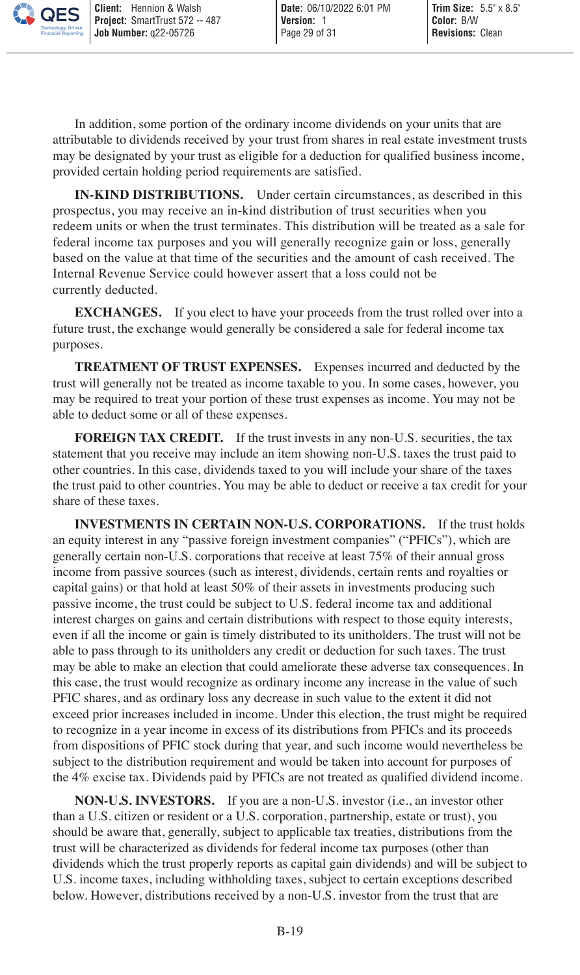In addition, some portion of the ordinary income dividends on your units that are attributable to dividends received by your trust from shares in real estate investment trusts may be designated by your trust as eligible for a deduction for qualified business income, provided certain holding period requirements are satisfied.

**IN-KIND DISTRIBUTIONS.** Under certain circumstances, as described in this prospectus, you may receive an in-kind distribution of trust securities when you redeem units or when the trust terminates. This distribution will be treated as a sale for federal income tax purposes and you will generally recognize gain or loss, generally based on the value at that time of the securities and the amount of cash received. The Internal Revenue Service could however assert that a loss could not be currently deducted.

**EXCHANGES.** If you elect to have your proceeds from the trust rolled over into a future trust, the exchange would generally be considered a sale for federal income tax purposes.

**TREATMENT OF TRUST EXPENSES.** Expenses incurred and deducted by the trust will generally not be treated as income taxable to you. In some cases, however, you may be required to treat your portion of these trust expenses as income. You may not be able to deduct some or all of these expenses.

**FOREIGN TAX CREDIT.** If the trust invests in any non-U.S. securities, the tax statement that you receive may include an item showing non-U.S. taxes the trust paid to other countries. In this case, dividends taxed to you will include your share of the taxes the trust paid to other countries. You may be able to deduct or receive a tax credit for your share of these taxes.

**INVESTMENTS IN CERTAIN NON-U.S. CORPORATIONS.** If the trust holds an equity interest in any "passive foreign investment companies" ("PFICs"), which are generally certain non-U.S. corporations that receive at least 75% of their annual gross income from passive sources (such as interest, dividends, certain rents and royalties or capital gains) or that hold at least 50% of their assets in investments producing such passive income, the trust could be subject to U.S. federal income tax and additional interest charges on gains and certain distributions with respect to those equity interests, even if all the income or gain is timely distributed to its unitholders. The trust will not be able to pass through to its unitholders any credit or deduction for such taxes. The trust may be able to make an election that could ameliorate these adverse tax consequences. In this case, the trust would recognize as ordinary income any increase in the value of such PFIC shares, and as ordinary loss any decrease in such value to the extent it did not exceed prior increases included in income. Under this election, the trust might be required to recognize in a year income in excess of its distributions from PFICs and its proceeds from dispositions of PFIC stock during that year, and such income would nevertheless be subject to the distribution requirement and would be taken into account for purposes of the 4% excise tax. Dividends paid by PFICs are not treated as qualified dividend income.

**NON-U.S. INVESTORS.** If you are a non-U.S. investor (i.e., an investor other than a U.S. citizen or resident or a U.S. corporation, partnership, estate or trust), you should be aware that, generally, subject to applicable tax treaties, distributions from the trust will be characterized as dividends for federal income tax purposes (other than dividends which the trust properly reports as capital gain dividends) and will be subject to U.S. income taxes, including withholding taxes, subject to certain exceptions described below. However, distributions received by a non-U.S. investor from the trust that are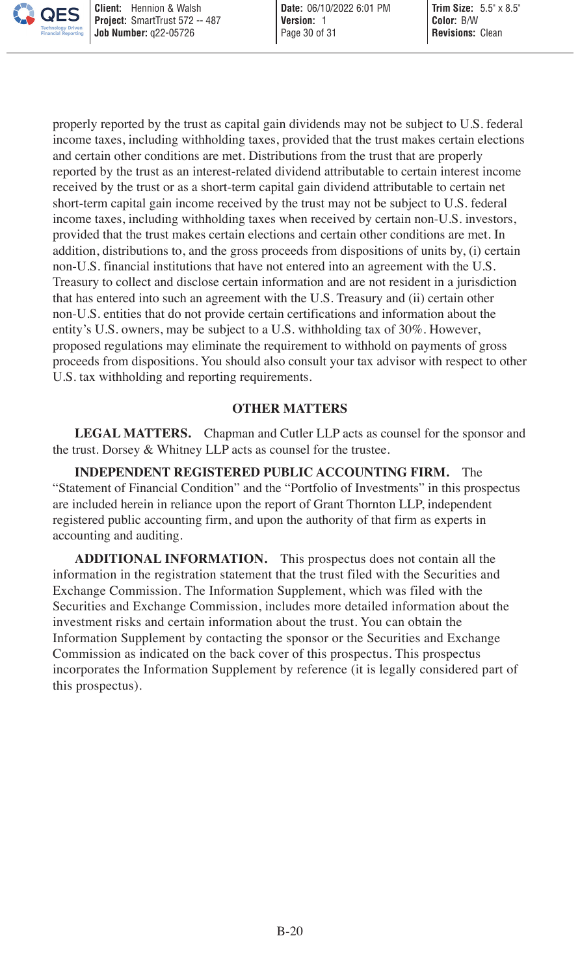properly reported by the trust as capital gain dividends may not be subject to U.S. federal income taxes, including withholding taxes, provided that the trust makes certain elections and certain other conditions are met. Distributions from the trust that are properly reported by the trust as an interest-related dividend attributable to certain interest income received by the trust or as a short-term capital gain dividend attributable to certain net short-term capital gain income received by the trust may not be subject to U.S. federal income taxes, including withholding taxes when received by certain non-U.S. investors, provided that the trust makes certain elections and certain other conditions are met. In addition, distributions to, and the gross proceeds from dispositions of units by, (i) certain non-U.S. financial institutions that have not entered into an agreement with the U.S. Treasury to collect and disclose certain information and are not resident in a jurisdiction that has entered into such an agreement with the U.S. Treasury and (ii) certain other non-U.S. entities that do not provide certain certifications and information about the entity's U.S. owners, may be subject to a U.S. withholding tax of 30%. However, proposed regulations may eliminate the requirement to withhold on payments of gross proceeds from dispositions. You should also consult your tax advisor with respect to other U.S. tax withholding and reporting requirements.

#### <span id="page-29-0"></span>**OTHER MATTERS**

**LEGAL MATTERS.** Chapman and Cutler LLP acts as counsel for the sponsor and the trust. Dorsey & Whitney LLP acts as counsel for the trustee.

**INDEPENDENT REGISTERED PUBLIC ACCOUNTING FIRM.** The "Statement of Financial Condition" and the "Portfolio of Investments" in this prospectus are included herein in reliance upon the report of Grant Thornton LLP, independent registered public accounting firm, and upon the authority of that firm as experts in accounting and auditing.

**ADDITIONAL INFORMATION.** This prospectus does not contain all the information in the registration statement that the trust filed with the Securities and Exchange Commission. The Information Supplement, which was filed with the Securities and Exchange Commission, includes more detailed information about the investment risks and certain information about the trust. You can obtain the Information Supplement by contacting the sponsor or the Securities and Exchange Commission as indicated on the back cover of this prospectus. This prospectus incorporates the Information Supplement by reference (it is legally considered part of this prospectus).